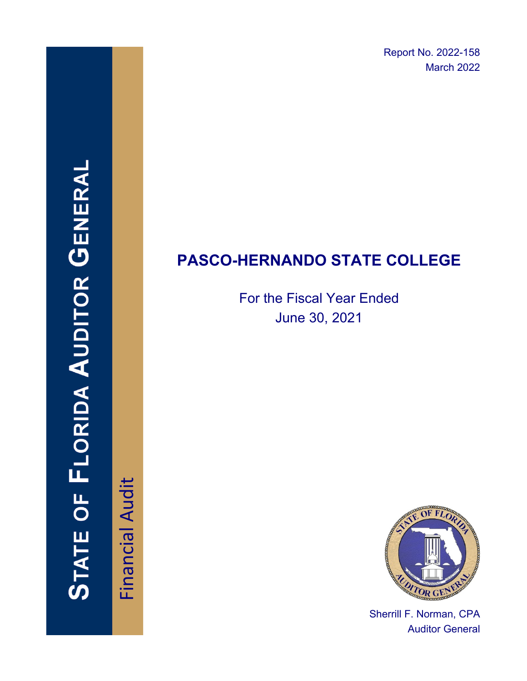Report No. 2022-158 March 2022

# STATE OF FLORIDA AUDITOR GENERAI

Financial Audit Financial Audit

# **PASCO-HERNANDO STATE COLLEGE**

For the Fiscal Year Ended June 30, 2021



Sherrill F. Norman, CPA Auditor General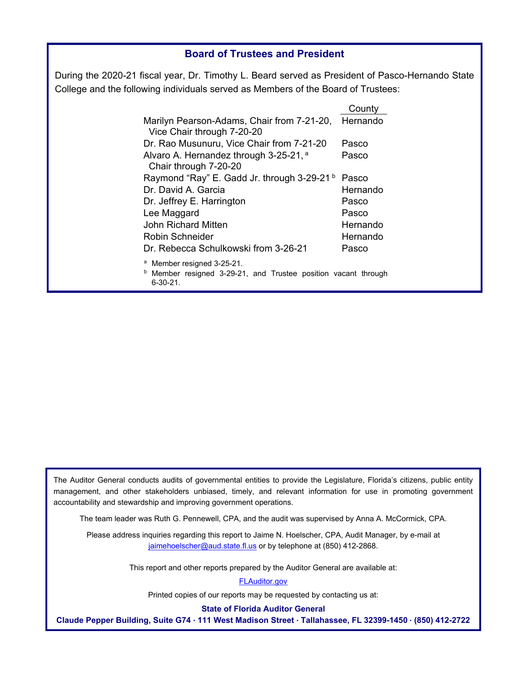### **Board of Trustees and President**

During the 2020-21 fiscal year, Dr. Timothy L. Beard served as President of Pasco-Hernando State College and the following individuals served as Members of the Board of Trustees:

|                                                                                                                          | Countv   |
|--------------------------------------------------------------------------------------------------------------------------|----------|
| Marilyn Pearson-Adams, Chair from 7-21-20,<br>Vice Chair through 7-20-20                                                 | Hernando |
| Dr. Rao Musunuru, Vice Chair from 7-21-20                                                                                | Pasco    |
| Alvaro A. Hernandez through 3-25-21, a<br>Chair through 7-20-20                                                          | Pasco    |
| Raymond "Ray" E. Gadd Jr. through 3-29-21 <sup>b</sup>                                                                   | Pasco    |
| Dr. David A. Garcia                                                                                                      | Hernando |
| Dr. Jeffrey E. Harrington                                                                                                | Pasco    |
| Lee Maggard                                                                                                              | Pasco    |
| John Richard Mitten                                                                                                      | Hernando |
| Robin Schneider                                                                                                          | Hernando |
| Dr. Rebecca Schulkowski from 3-26-21                                                                                     | Pasco    |
| <sup>a</sup> Member resigned 3-25-21.<br>Member resigned 3-29-21, and Trustee position vacant through<br>$6 - 30 - 21$ . |          |

The Auditor General conducts audits of governmental entities to provide the Legislature, Florida's citizens, public entity management, and other stakeholders unbiased, timely, and relevant information for use in promoting government accountability and stewardship and improving government operations.

The team leader was Ruth G. Pennewell, CPA, and the audit was supervised by Anna A. McCormick, CPA.

Please address inquiries regarding this report to Jaime N. Hoelscher, CPA, Audit Manager, by e-mail at jaimehoelscher@aud.state.fl.us or by telephone at (850) 412-2868.

This report and other reports prepared by the Auditor General are available at:

[FLAuditor.gov](http://flauditor.gov/) 

Printed copies of our reports may be requested by contacting us at:

**State of Florida Auditor General** 

**Claude Pepper Building, Suite G74 · 111 West Madison Street · Tallahassee, FL 32399-1450 · (850) 412-2722**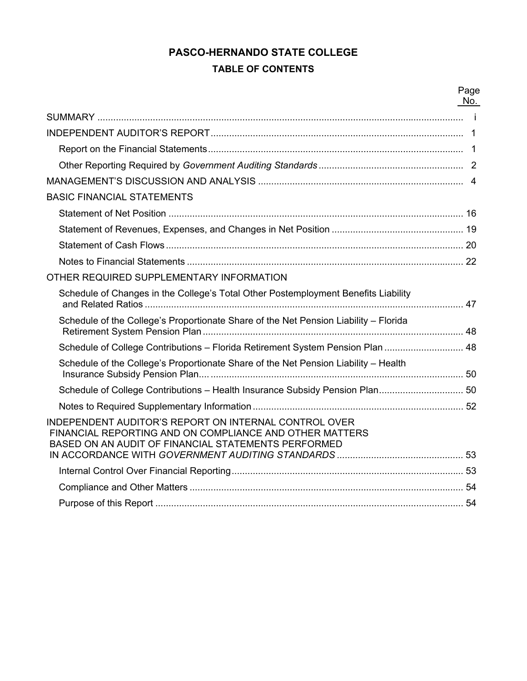# **PASCO-HERNANDO STATE COLLEGE TABLE OF CONTENTS**

Page

|                                                                                                                                                                         | No. |
|-------------------------------------------------------------------------------------------------------------------------------------------------------------------------|-----|
|                                                                                                                                                                         |     |
|                                                                                                                                                                         |     |
|                                                                                                                                                                         |     |
|                                                                                                                                                                         |     |
|                                                                                                                                                                         |     |
| <b>BASIC FINANCIAL STATEMENTS</b>                                                                                                                                       |     |
|                                                                                                                                                                         |     |
|                                                                                                                                                                         |     |
|                                                                                                                                                                         |     |
|                                                                                                                                                                         |     |
| OTHER REQUIRED SUPPLEMENTARY INFORMATION                                                                                                                                |     |
| Schedule of Changes in the College's Total Other Postemployment Benefits Liability                                                                                      |     |
| Schedule of the College's Proportionate Share of the Net Pension Liability - Florida                                                                                    |     |
| Schedule of College Contributions - Florida Retirement System Pension Plan  48                                                                                          |     |
| Schedule of the College's Proportionate Share of the Net Pension Liability - Health                                                                                     |     |
|                                                                                                                                                                         |     |
|                                                                                                                                                                         |     |
| INDEPENDENT AUDITOR'S REPORT ON INTERNAL CONTROL OVER<br>FINANCIAL REPORTING AND ON COMPLIANCE AND OTHER MATTERS<br>BASED ON AN AUDIT OF FINANCIAL STATEMENTS PERFORMED |     |
|                                                                                                                                                                         |     |
|                                                                                                                                                                         |     |
|                                                                                                                                                                         |     |
|                                                                                                                                                                         |     |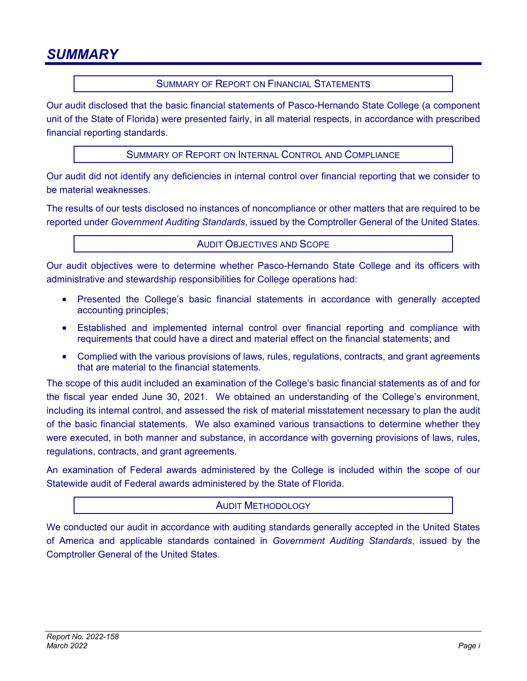### SUMMARY OF REPORT ON FINANCIAL STATEMENTS

<span id="page-3-0"></span>Our audit disclosed that the basic financial statements of Pasco-Hernando State College (a component unit of the State of Florida) were presented fairly, in all material respects, in accordance with prescribed financial reporting standards.

SUMMARY OF REPORT ON INTERNAL CONTROL AND COMPLIANCE

Our audit did not identify any deficiencies in internal control over financial reporting that we consider to be material weaknesses.

The results of our tests disclosed no instances of noncompliance or other matters that are required to be reported under *Government Auditing Standards*, issued by the Comptroller General of the United States.

### AUDIT OBJECTIVES AND SCOPE

Our audit objectives were to determine whether Pasco-Hernando State College and its officers with administrative and stewardship responsibilities for College operations had:

- Presented the College's basic financial statements in accordance with generally accepted accounting principles;
- Established and implemented internal control over financial reporting and compliance with requirements that could have a direct and material effect on the financial statements; and
- Complied with the various provisions of laws, rules, regulations, contracts, and grant agreements that are material to the financial statements.

The scope of this audit included an examination of the College's basic financial statements as of and for the fiscal year ended June 30, 2021. We obtained an understanding of the College's environment, including its internal control, and assessed the risk of material misstatement necessary to plan the audit of the basic financial statements. We also examined various transactions to determine whether they were executed, in both manner and substance, in accordance with governing provisions of laws, rules, regulations, contracts, and grant agreements.

An examination of Federal awards administered by the College is included within the scope of our Statewide audit of Federal awards administered by the State of Florida.

# AUDIT METHODOLOGY

We conducted our audit in accordance with auditing standards generally accepted in the United States of America and applicable standards contained in *Government Auditing Standards*, issued by the Comptroller General of the United States.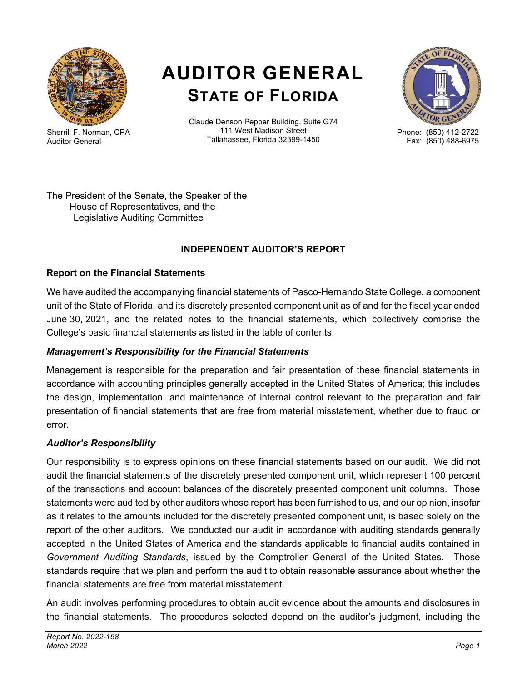<span id="page-4-0"></span>

Sherrill F. Norman, CPA Auditor General

# **AUDITOR GENERAL STATE OF FLORIDA**

Claude Denson Pepper Building, Suite G74 111 West Madison Street Tallahassee, Florida 32399-1450



Phone: (850) 412-2722 Fax: (850) 488-6975

The President of the Senate, the Speaker of the House of Representatives, and the Legislative Auditing Committee

# **INDEPENDENT AUDITOR'S REPORT**

# **Report on the Financial Statements**

We have audited the accompanying financial statements of Pasco-Hernando State College, a component unit of the State of Florida, and its discretely presented component unit as of and for the fiscal year ended June 30, 2021, and the related notes to the financial statements, which collectively comprise the College's basic financial statements as listed in the table of contents.

# *Management's Responsibility for the Financial Statements*

Management is responsible for the preparation and fair presentation of these financial statements in accordance with accounting principles generally accepted in the United States of America; this includes the design, implementation, and maintenance of internal control relevant to the preparation and fair presentation of financial statements that are free from material misstatement, whether due to fraud or error.

# *Auditor's Responsibility*

Our responsibility is to express opinions on these financial statements based on our audit. We did not audit the financial statements of the discretely presented component unit, which represent 100 percent of the transactions and account balances of the discretely presented component unit columns. Those statements were audited by other auditors whose report has been furnished to us, and our opinion, insofar as it relates to the amounts included for the discretely presented component unit, is based solely on the report of the other auditors. We conducted our audit in accordance with auditing standards generally accepted in the United States of America and the standards applicable to financial audits contained in *Government Auditing Standards*, issued by the Comptroller General of the United States. Those standards require that we plan and perform the audit to obtain reasonable assurance about whether the financial statements are free from material misstatement.

An audit involves performing procedures to obtain audit evidence about the amounts and disclosures in the financial statements. The procedures selected depend on the auditor's judgment, including the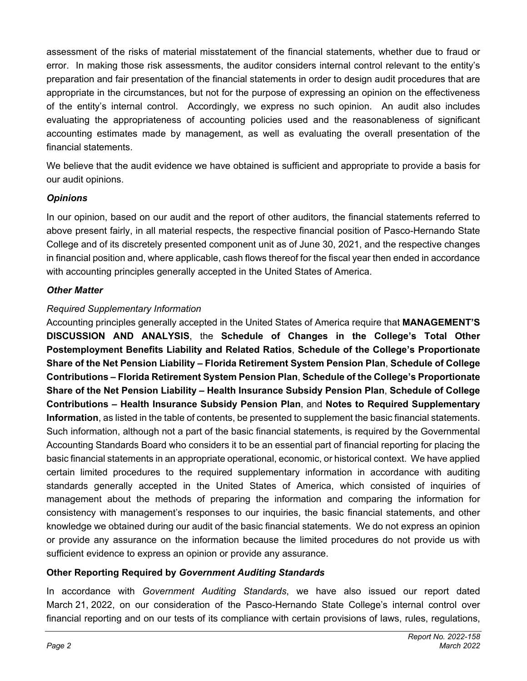<span id="page-5-0"></span>assessment of the risks of material misstatement of the financial statements, whether due to fraud or error. In making those risk assessments, the auditor considers internal control relevant to the entity's preparation and fair presentation of the financial statements in order to design audit procedures that are appropriate in the circumstances, but not for the purpose of expressing an opinion on the effectiveness of the entity's internal control. Accordingly, we express no such opinion. An audit also includes evaluating the appropriateness of accounting policies used and the reasonableness of significant accounting estimates made by management, as well as evaluating the overall presentation of the financial statements.

We believe that the audit evidence we have obtained is sufficient and appropriate to provide a basis for our audit opinions.

# *Opinions*

In our opinion, based on our audit and the report of other auditors, the financial statements referred to above present fairly, in all material respects, the respective financial position of Pasco-Hernando State College and of its discretely presented component unit as of June 30, 2021, and the respective changes in financial position and, where applicable, cash flows thereof for the fiscal year then ended in accordance with accounting principles generally accepted in the United States of America.

# *Other Matter*

# *Required Supplementary Information*

Accounting principles generally accepted in the United States of America require that **MANAGEMENT'S DISCUSSION AND ANALYSIS**, the **Schedule of Changes in the College's Total Other Postemployment Benefits Liability and Related Ratios**, **Schedule of the College's Proportionate Share of the Net Pension Liability – Florida Retirement System Pension Plan**, **Schedule of College Contributions – Florida Retirement System Pension Plan**, **Schedule of the College's Proportionate Share of the Net Pension Liability – Health Insurance Subsidy Pension Plan**, **Schedule of College Contributions – Health Insurance Subsidy Pension Plan**, and **Notes to Required Supplementary Information**, as listed in the table of contents, be presented to supplement the basic financial statements. Such information, although not a part of the basic financial statements, is required by the Governmental Accounting Standards Board who considers it to be an essential part of financial reporting for placing the basic financial statements in an appropriate operational, economic, or historical context. We have applied certain limited procedures to the required supplementary information in accordance with auditing standards generally accepted in the United States of America, which consisted of inquiries of management about the methods of preparing the information and comparing the information for consistency with management's responses to our inquiries, the basic financial statements, and other knowledge we obtained during our audit of the basic financial statements. We do not express an opinion or provide any assurance on the information because the limited procedures do not provide us with sufficient evidence to express an opinion or provide any assurance.

# **Other Reporting Required by** *Government Auditing Standards*

In accordance with *Government Auditing Standards*, we have also issued our report dated March 21, 2022, on our consideration of the Pasco-Hernando State College's internal control over financial reporting and on our tests of its compliance with certain provisions of laws, rules, regulations,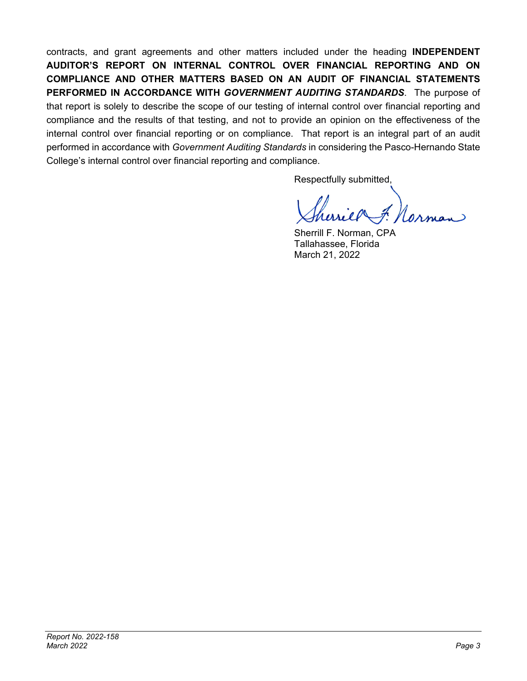contracts, and grant agreements and other matters included under the heading **INDEPENDENT AUDITOR'S REPORT ON INTERNAL CONTROL OVER FINANCIAL REPORTING AND ON COMPLIANCE AND OTHER MATTERS BASED ON AN AUDIT OF FINANCIAL STATEMENTS PERFORMED IN ACCORDANCE WITH** *GOVERNMENT AUDITING STANDARDS*. The purpose of that report is solely to describe the scope of our testing of internal control over financial reporting and compliance and the results of that testing, and not to provide an opinion on the effectiveness of the internal control over financial reporting or on compliance. That report is an integral part of an audit performed in accordance with *Government Auditing Standards* in considering the Pasco-Hernando State College's internal control over financial reporting and compliance.

Respectfully submitted,

Sherrill F. Norman, CPA Tallahassee, Florida March 21, 2022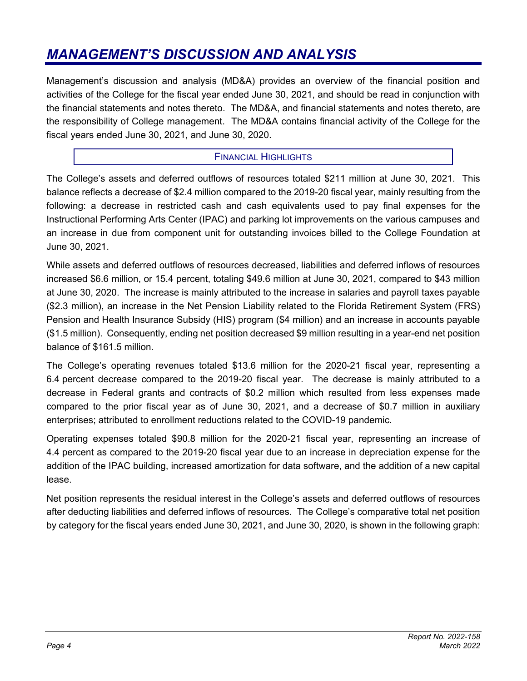# <span id="page-7-0"></span>*MANAGEMENT'S DISCUSSION AND ANALYSIS*

Management's discussion and analysis (MD&A) provides an overview of the financial position and activities of the College for the fiscal year ended June 30, 2021, and should be read in conjunction with the financial statements and notes thereto. The MD&A, and financial statements and notes thereto, are the responsibility of College management. The MD&A contains financial activity of the College for the fiscal years ended June 30, 2021, and June 30, 2020.

# FINANCIAL HIGHLIGHTS

The College's assets and deferred outflows of resources totaled \$211 million at June 30, 2021. This balance reflects a decrease of \$2.4 million compared to the 2019-20 fiscal year, mainly resulting from the following: a decrease in restricted cash and cash equivalents used to pay final expenses for the Instructional Performing Arts Center (IPAC) and parking lot improvements on the various campuses and an increase in due from component unit for outstanding invoices billed to the College Foundation at June 30, 2021.

While assets and deferred outflows of resources decreased, liabilities and deferred inflows of resources increased \$6.6 million, or 15.4 percent, totaling \$49.6 million at June 30, 2021, compared to \$43 million at June 30, 2020. The increase is mainly attributed to the increase in salaries and payroll taxes payable (\$2.3 million), an increase in the Net Pension Liability related to the Florida Retirement System (FRS) Pension and Health Insurance Subsidy (HIS) program (\$4 million) and an increase in accounts payable (\$1.5 million). Consequently, ending net position decreased \$9 million resulting in a year-end net position balance of \$161.5 million.

The College's operating revenues totaled \$13.6 million for the 2020-21 fiscal year, representing a 6.4 percent decrease compared to the 2019-20 fiscal year. The decrease is mainly attributed to a decrease in Federal grants and contracts of \$0.2 million which resulted from less expenses made compared to the prior fiscal year as of June 30, 2021, and a decrease of \$0.7 million in auxiliary enterprises; attributed to enrollment reductions related to the COVID-19 pandemic.

Operating expenses totaled \$90.8 million for the 2020-21 fiscal year, representing an increase of 4.4 percent as compared to the 2019-20 fiscal year due to an increase in depreciation expense for the addition of the IPAC building, increased amortization for data software, and the addition of a new capital lease.

Net position represents the residual interest in the College's assets and deferred outflows of resources after deducting liabilities and deferred inflows of resources. The College's comparative total net position by category for the fiscal years ended June 30, 2021, and June 30, 2020, is shown in the following graph: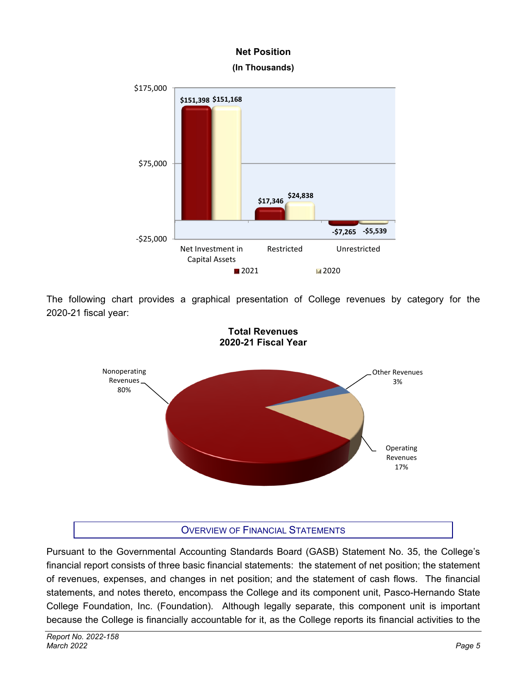# **Net Position (In Thousands)**



The following chart provides a graphical presentation of College revenues by category for the 2020-21 fiscal year:



# OVERVIEW OF FINANCIAL STATEMENTS

Pursuant to the Governmental Accounting Standards Board (GASB) Statement No. 35, the College's financial report consists of three basic financial statements: the statement of net position; the statement of revenues, expenses, and changes in net position; and the statement of cash flows. The financial statements, and notes thereto, encompass the College and its component unit, Pasco-Hernando State College Foundation, Inc. (Foundation). Although legally separate, this component unit is important because the College is financially accountable for it, as the College reports its financial activities to the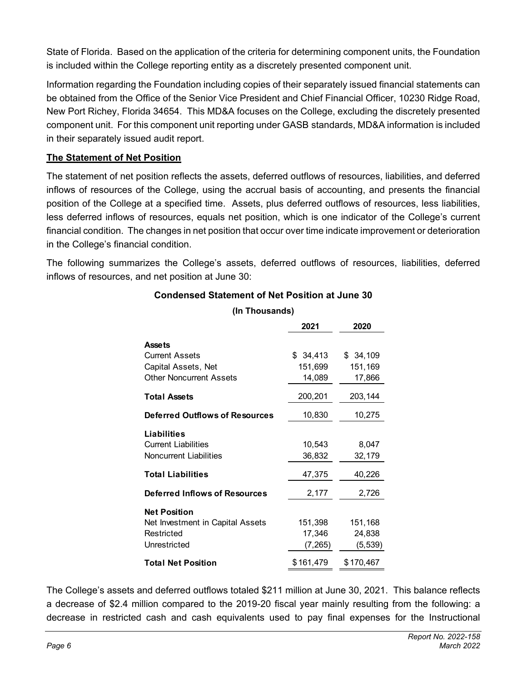State of Florida. Based on the application of the criteria for determining component units, the Foundation is included within the College reporting entity as a discretely presented component unit.

Information regarding the Foundation including copies of their separately issued financial statements can be obtained from the Office of the Senior Vice President and Chief Financial Officer, 10230 Ridge Road, New Port Richey, Florida 34654. This MD&A focuses on the College, excluding the discretely presented component unit. For this component unit reporting under GASB standards, MD&A information is included in their separately issued audit report.

# **The Statement of Net Position**

The statement of net position reflects the assets, deferred outflows of resources, liabilities, and deferred inflows of resources of the College, using the accrual basis of accounting, and presents the financial position of the College at a specified time. Assets, plus deferred outflows of resources, less liabilities, less deferred inflows of resources, equals net position, which is one indicator of the College's current financial condition. The changes in net position that occur over time indicate improvement or deterioration in the College's financial condition.

The following summarizes the College's assets, deferred outflows of resources, liabilities, deferred inflows of resources, and net position at June 30:

|                                                                                                 | 2021                          | 2020                           |
|-------------------------------------------------------------------------------------------------|-------------------------------|--------------------------------|
| <b>Assets</b><br><b>Current Assets</b><br>Capital Assets, Net<br><b>Other Noncurrent Assets</b> | \$34,413<br>151,699<br>14,089 | \$ 34,109<br>151,169<br>17,866 |
| <b>Total Assets</b>                                                                             | 200,201                       | 203,144                        |
| <b>Deferred Outflows of Resources</b>                                                           | 10,830                        | 10,275                         |
| Liabilities<br><b>Current Liabilities</b><br><b>Noncurrent Liabilities</b>                      | 10,543<br>36,832              | 8,047<br>32,179                |
| <b>Total Liabilities</b>                                                                        | 47,375                        | 40,226                         |
| Deferred Inflows of Resources                                                                   | 2,177                         | 2,726                          |
| <b>Net Position</b><br>Net Investment in Capital Assets<br>Restricted<br>Unrestricted           | 151,398<br>17,346<br>(7, 265) | 151,168<br>24,838<br>(5, 539)  |
| <b>Total Net Position</b>                                                                       | \$161,479                     | \$170,467                      |

# **Condensed Statement of Net Position at June 30**

**(In Thousands)** 

The College's assets and deferred outflows totaled \$211 million at June 30, 2021. This balance reflects a decrease of \$2.4 million compared to the 2019-20 fiscal year mainly resulting from the following: a decrease in restricted cash and cash equivalents used to pay final expenses for the Instructional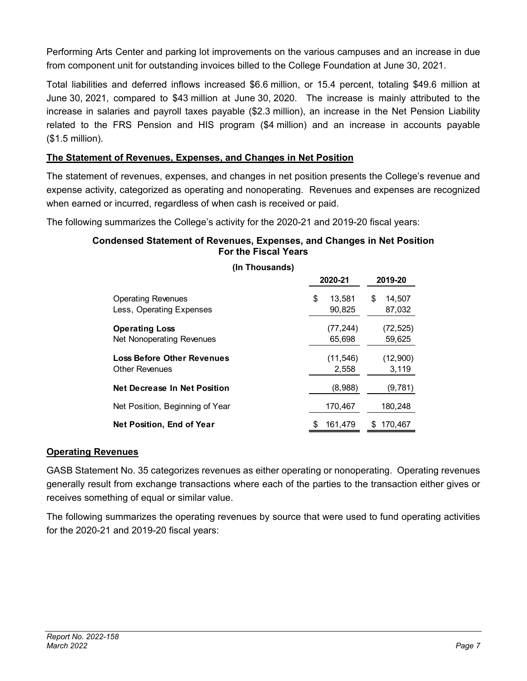Performing Arts Center and parking lot improvements on the various campuses and an increase in due from component unit for outstanding invoices billed to the College Foundation at June 30, 2021.

Total liabilities and deferred inflows increased \$6.6 million, or 15.4 percent, totaling \$49.6 million at June 30, 2021, compared to \$43 million at June 30, 2020. The increase is mainly attributed to the increase in salaries and payroll taxes payable (\$2.3 million), an increase in the Net Pension Liability related to the FRS Pension and HIS program (\$4 million) and an increase in accounts payable (\$1.5 million).

# **The Statement of Revenues, Expenses, and Changes in Net Position**

The statement of revenues, expenses, and changes in net position presents the College's revenue and expense activity, categorized as operating and nonoperating. Revenues and expenses are recognized when earned or incurred, regardless of when cash is received or paid.

The following summarizes the College's activity for the 2020-21 and 2019-20 fiscal years:

# **Condensed Statement of Revenues, Expenses, and Changes in Net Position For the Fiscal Years**

|                                                            | 2020-21 |                     | 2019-20 |                     |
|------------------------------------------------------------|---------|---------------------|---------|---------------------|
| <b>Operating Revenues</b><br>Less, Operating Expenses      | \$      | 13,581<br>90,825    | \$      | 14.507<br>87,032    |
| <b>Operating Loss</b><br>Net Nonoperating Revenues         |         | (77, 244)<br>65,698 |         | (72, 525)<br>59,625 |
| <b>Loss Before Other Revenues</b><br><b>Other Revenues</b> |         | (11, 546)<br>2,558  |         | (12,900)<br>3,119   |
| <b>Net Decrease In Net Position</b>                        |         | (8,988)             |         | (9,781)             |
| Net Position, Beginning of Year                            |         | 170,467             |         | 180,248             |
| <b>Net Position, End of Year</b>                           | S       | 161,479             | S       | 170,467             |

# **(In Thousands)**

### **Operating Revenues**

GASB Statement No. 35 categorizes revenues as either operating or nonoperating. Operating revenues generally result from exchange transactions where each of the parties to the transaction either gives or receives something of equal or similar value.

The following summarizes the operating revenues by source that were used to fund operating activities for the 2020-21 and 2019-20 fiscal years: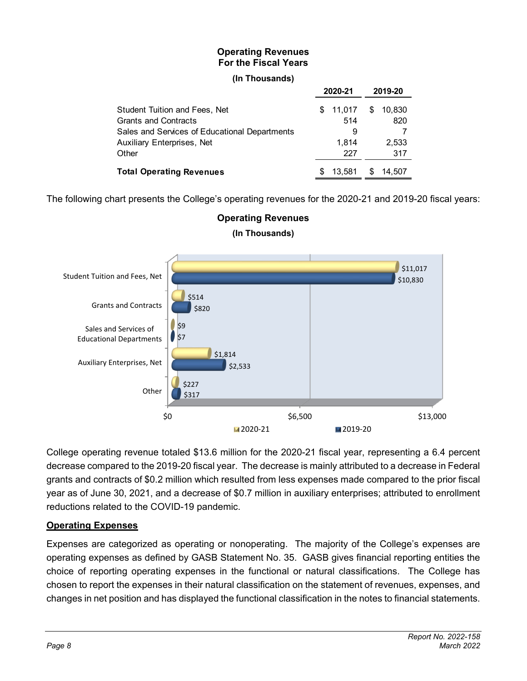# **Operating Revenues For the Fiscal Years**

### **(In Thousands)**

|                                               | 2020-21   |   | 2019-20   |
|-----------------------------------------------|-----------|---|-----------|
| Student Tuition and Fees, Net                 | \$ 11,017 |   | \$ 10,830 |
| <b>Grants and Contracts</b>                   | 514       |   | 820       |
| Sales and Services of Educational Departments | 9         |   |           |
| Auxiliary Enterprises, Net                    | 1.814     |   | 2,533     |
| Other                                         | 227       |   | 317       |
| <b>Total Operating Revenues</b>               | 13.581    | S | 14.507    |

The following chart presents the College's operating revenues for the 2020-21 and 2019-20 fiscal years:



# **Operating Revenues**

**(In Thousands)** 

College operating revenue totaled \$13.6 million for the 2020-21 fiscal year, representing a 6.4 percent decrease compared to the 2019-20 fiscal year. The decrease is mainly attributed to a decrease in Federal grants and contracts of \$0.2 million which resulted from less expenses made compared to the prior fiscal year as of June 30, 2021, and a decrease of \$0.7 million in auxiliary enterprises; attributed to enrollment reductions related to the COVID-19 pandemic.

# **Operating Expenses**

Expenses are categorized as operating or nonoperating. The majority of the College's expenses are operating expenses as defined by GASB Statement No. 35. GASB gives financial reporting entities the choice of reporting operating expenses in the functional or natural classifications. The College has chosen to report the expenses in their natural classification on the statement of revenues, expenses, and changes in net position and has displayed the functional classification in the notes to financial statements.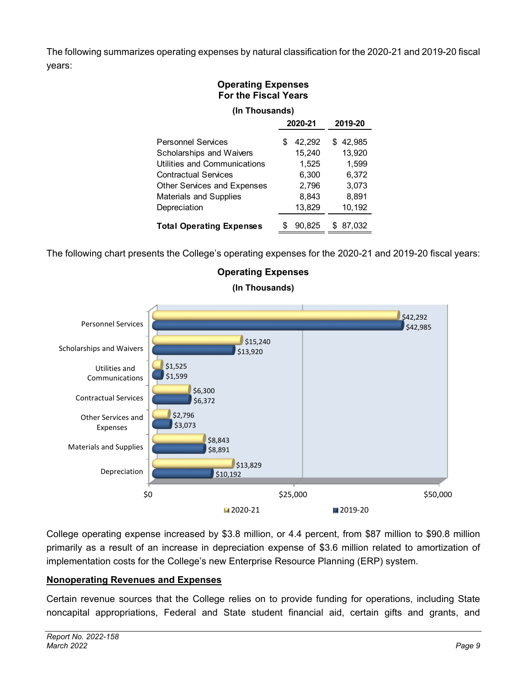The following summarizes operating expenses by natural classification for the 2020-21 and 2019-20 fiscal years:

# **Operating Expenses For the Fiscal Years**

### **(In Thousands)**

|                                                                                                    | 2020-21 |                           | 2019-20 |                           |
|----------------------------------------------------------------------------------------------------|---------|---------------------------|---------|---------------------------|
| <b>Personnel Services</b><br>Scholarships and Waivers<br>Utilities and Communications              | S       | 42,292<br>15,240<br>1,525 | S.      | 42,985<br>13,920<br>1,599 |
| <b>Contractual Services</b><br><b>Other Services and Expenses</b><br><b>Materials and Supplies</b> |         | 6,300<br>2,796<br>8,843   |         | 6,372<br>3,073<br>8,891   |
| Depreciation                                                                                       |         | 13,829                    |         | 10,192                    |
| <b>Total Operating Expenses</b>                                                                    |         | 90.825                    | S       | 87,032                    |

The following chart presents the College's operating expenses for the 2020-21 and 2019-20 fiscal years:



# **Operating Expenses**

**(In Thousands)** 

College operating expense increased by \$3.8 million, or 4.4 percent, from \$87 million to \$90.8 million primarily as a result of an increase in depreciation expense of \$3.6 million related to amortization of implementation costs for the College's new Enterprise Resource Planning (ERP) system.

# **Nonoperating Revenues and Expenses**

Certain revenue sources that the College relies on to provide funding for operations, including State noncapital appropriations, Federal and State student financial aid, certain gifts and grants, and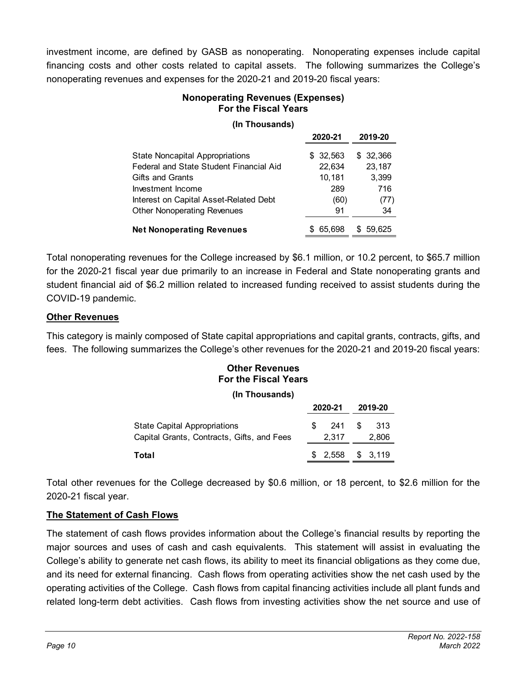investment income, are defined by GASB as nonoperating. Nonoperating expenses include capital financing costs and other costs related to capital assets. The following summarizes the College's nonoperating revenues and expenses for the 2020-21 and 2019-20 fiscal years:

# **Nonoperating Revenues (Expenses) For the Fiscal Years**

### **(In Thousands)**

|                                         | 2020-21  | 2019-20      |
|-----------------------------------------|----------|--------------|
| <b>State Noncapital Appropriations</b>  | \$32,563 | \$ 32,366    |
| Federal and State Student Financial Aid | 22,634   | 23,187       |
| Gifts and Grants                        | 10,181   | 3,399        |
| Investment Income                       | 289      | 716          |
| Interest on Capital Asset-Related Debt  | (60)     | (77)         |
| <b>Other Nonoperating Revenues</b>      | 91       | 34           |
| <b>Net Nonoperating Revenues</b>        | 65.698   | 59.625<br>\$ |

Total nonoperating revenues for the College increased by \$6.1 million, or 10.2 percent, to \$65.7 million for the 2020-21 fiscal year due primarily to an increase in Federal and State nonoperating grants and student financial aid of \$6.2 million related to increased funding received to assist students during the COVID-19 pandemic.

### **Other Revenues**

This category is mainly composed of State capital appropriations and capital grants, contracts, gifts, and fees. The following summarizes the College's other revenues for the 2020-21 and 2019-20 fiscal years:

# **Other Revenues For the Fiscal Years**

### **(In Thousands)**

|                                                                                   |               | 2020-21           |    | 2019-20       |
|-----------------------------------------------------------------------------------|---------------|-------------------|----|---------------|
| <b>State Capital Appropriations</b><br>Capital Grants, Contracts, Gifts, and Fees | $\mathcal{S}$ | 241<br>2.317      | S. | -313<br>2,806 |
| Total                                                                             |               | $$2,558$ $$3,119$ |    |               |

Total other revenues for the College decreased by \$0.6 million, or 18 percent, to \$2.6 million for the 2020-21 fiscal year.

### **The Statement of Cash Flows**

The statement of cash flows provides information about the College's financial results by reporting the major sources and uses of cash and cash equivalents. This statement will assist in evaluating the College's ability to generate net cash flows, its ability to meet its financial obligations as they come due, and its need for external financing. Cash flows from operating activities show the net cash used by the operating activities of the College. Cash flows from capital financing activities include all plant funds and related long-term debt activities. Cash flows from investing activities show the net source and use of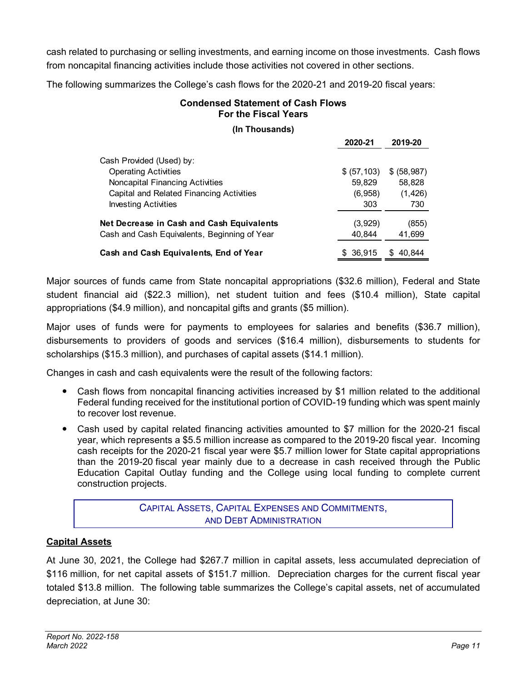cash related to purchasing or selling investments, and earning income on those investments. Cash flows from noncapital financing activities include those activities not covered in other sections.

The following summarizes the College's cash flows for the 2020-21 and 2019-20 fiscal years:

# **Condensed Statement of Cash Flows For the Fiscal Years**

### **(In Thousands)**

|                                              | 2020-21      | 2019-20      |
|----------------------------------------------|--------------|--------------|
| Cash Provided (Used) by:                     |              |              |
| <b>Operating Activities</b>                  | \$ (57, 103) | \$ (58, 987) |
| <b>Noncapital Financing Activities</b>       | 59,829       | 58,828       |
| Capital and Related Financing Activities     | (6,958)      | (1, 426)     |
| <b>Investing Activities</b>                  | 303          | 730          |
| Net Decrease in Cash and Cash Equivalents    | (3,929)      | (855)        |
| Cash and Cash Equivalents, Beginning of Year | 40.844       | 41,699       |
| Cash and Cash Equivalents, End of Year       | \$ 36,915    | 40.844       |

Major sources of funds came from State noncapital appropriations (\$32.6 million), Federal and State student financial aid (\$22.3 million), net student tuition and fees (\$10.4 million), State capital appropriations (\$4.9 million), and noncapital gifts and grants (\$5 million).

Major uses of funds were for payments to employees for salaries and benefits (\$36.7 million), disbursements to providers of goods and services (\$16.4 million), disbursements to students for scholarships (\$15.3 million), and purchases of capital assets (\$14.1 million).

Changes in cash and cash equivalents were the result of the following factors:

- Cash flows from noncapital financing activities increased by \$1 million related to the additional Federal funding received for the institutional portion of COVID-19 funding which was spent mainly to recover lost revenue.
- Cash used by capital related financing activities amounted to \$7 million for the 2020-21 fiscal year, which represents a \$5.5 million increase as compared to the 2019-20 fiscal year. Incoming cash receipts for the 2020-21 fiscal year were \$5.7 million lower for State capital appropriations than the 2019-20 fiscal year mainly due to a decrease in cash received through the Public Education Capital Outlay funding and the College using local funding to complete current construction projects.

CAPITAL ASSETS, CAPITAL EXPENSES AND COMMITMENTS, AND DEBT ADMINISTRATION

# **Capital Assets**

At June 30, 2021, the College had \$267.7 million in capital assets, less accumulated depreciation of \$116 million, for net capital assets of \$151.7 million. Depreciation charges for the current fiscal year totaled \$13.8 million. The following table summarizes the College's capital assets, net of accumulated depreciation, at June 30: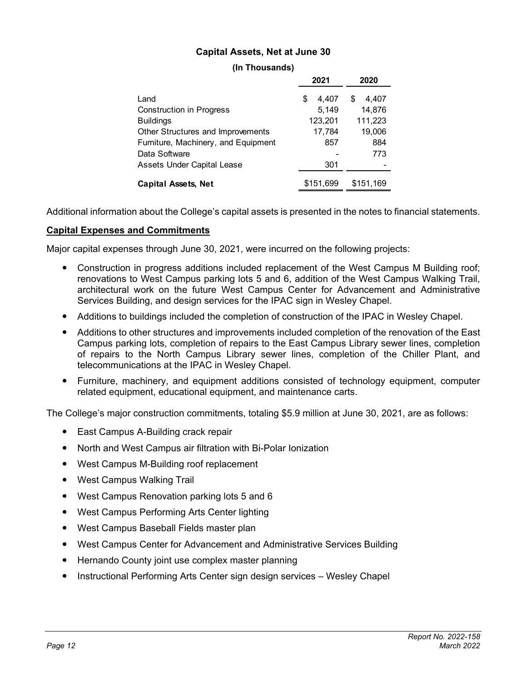# **Capital Assets, Net at June 30**

| (In Thousands) |  |
|----------------|--|
|----------------|--|

|                                     | 2021        | 2020        |
|-------------------------------------|-------------|-------------|
| Land                                | 4,407<br>\$ | 4.407<br>\$ |
| Construction in Progress            | 5,149       | 14,876      |
| <b>Buildings</b>                    | 123,201     | 111,223     |
| Other Structures and Improvements   | 17,784      | 19,006      |
| Furniture, Machinery, and Equipment | 857         | 884         |
| Data Software                       |             | 773         |
| Assets Under Capital Lease          | 301         |             |
| <b>Capital Assets, Net</b>          | \$151,699   | \$151,169   |

Additional information about the College's capital assets is presented in the notes to financial statements.

### **Capital Expenses and Commitments**

Major capital expenses through June 30, 2021, were incurred on the following projects:

- Construction in progress additions included replacement of the West Campus M Building roof; renovations to West Campus parking lots 5 and 6, addition of the West Campus Walking Trail, architectural work on the future West Campus Center for Advancement and Administrative Services Building, and design services for the IPAC sign in Wesley Chapel.
- Additions to buildings included the completion of construction of the IPAC in Wesley Chapel.
- Additions to other structures and improvements included completion of the renovation of the East Campus parking lots, completion of repairs to the East Campus Library sewer lines, completion of repairs to the North Campus Library sewer lines, completion of the Chiller Plant, and telecommunications at the IPAC in Wesley Chapel.
- Furniture, machinery, and equipment additions consisted of technology equipment, computer related equipment, educational equipment, and maintenance carts.

The College's major construction commitments, totaling \$5.9 million at June 30, 2021, are as follows:

- East Campus A-Building crack repair
- North and West Campus air filtration with Bi-Polar Ionization
- West Campus M-Building roof replacement
- West Campus Walking Trail
- West Campus Renovation parking lots 5 and 6
- West Campus Performing Arts Center lighting
- West Campus Baseball Fields master plan
- West Campus Center for Advancement and Administrative Services Building
- Hernando County joint use complex master planning
- Instructional Performing Arts Center sign design services Wesley Chapel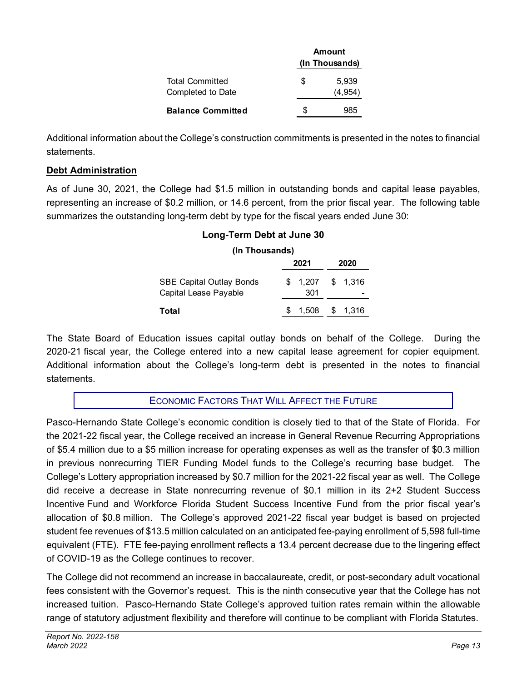|                                      |   | Amount<br>(In Thousands) |  |  |
|--------------------------------------|---|--------------------------|--|--|
| Total Committed<br>Completed to Date | S | 5.939<br>(4.954)         |  |  |
| <b>Balance Committed</b>             |   | 985                      |  |  |

Additional information about the College's construction commitments is presented in the notes to financial statements.

# **Debt Administration**

As of June 30, 2021, the College had \$1.5 million in outstanding bonds and capital lease payables, representing an increase of \$0.2 million, or 14.6 percent, from the prior fiscal year. The following table summarizes the outstanding long-term debt by type for the fiscal years ended June 30:

# **Long-Term Debt at June 30**

| (In Thousands)                                           |      |                          |  |      |  |  |
|----------------------------------------------------------|------|--------------------------|--|------|--|--|
|                                                          | 2021 |                          |  | 2020 |  |  |
| <b>SBE Capital Outlay Bonds</b><br>Capital Lease Payable |      | $$1,207$ $$1,316$<br>301 |  |      |  |  |
| Total                                                    |      | 1,508 \$ 1,316           |  |      |  |  |

The State Board of Education issues capital outlay bonds on behalf of the College. During the 2020-21 fiscal year, the College entered into a new capital lease agreement for copier equipment. Additional information about the College's long-term debt is presented in the notes to financial statements.

ECONOMIC FACTORS THAT WILL AFFECT THE FUTURE

Pasco-Hernando State College's economic condition is closely tied to that of the State of Florida. For the 2021-22 fiscal year, the College received an increase in General Revenue Recurring Appropriations of \$5.4 million due to a \$5 million increase for operating expenses as well as the transfer of \$0.3 million in previous nonrecurring TIER Funding Model funds to the College's recurring base budget. The College's Lottery appropriation increased by \$0.7 million for the 2021-22 fiscal year as well. The College did receive a decrease in State nonrecurring revenue of \$0.1 million in its 2+2 Student Success Incentive Fund and Workforce Florida Student Success Incentive Fund from the prior fiscal year's allocation of \$0.8 million. The College's approved 2021-22 fiscal year budget is based on projected student fee revenues of \$13.5 million calculated on an anticipated fee-paying enrollment of 5,598 full-time equivalent (FTE). FTE fee-paying enrollment reflects a 13.4 percent decrease due to the lingering effect of COVID-19 as the College continues to recover.

The College did not recommend an increase in baccalaureate, credit, or post-secondary adult vocational fees consistent with the Governor's request. This is the ninth consecutive year that the College has not increased tuition. Pasco-Hernando State College's approved tuition rates remain within the allowable range of statutory adjustment flexibility and therefore will continue to be compliant with Florida Statutes.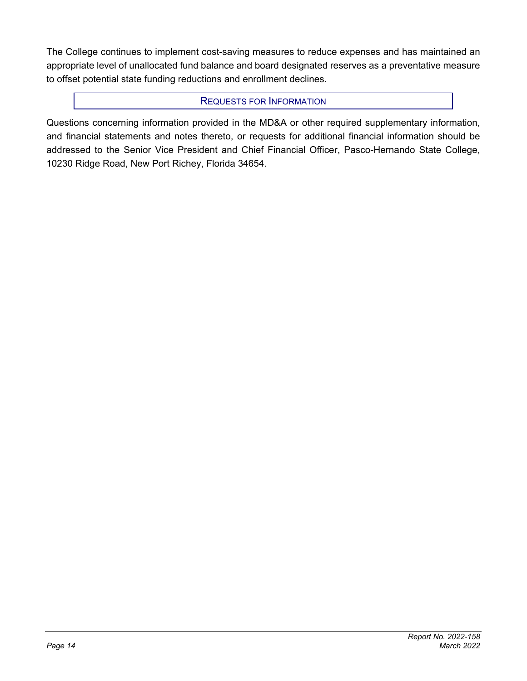The College continues to implement cost-saving measures to reduce expenses and has maintained an appropriate level of unallocated fund balance and board designated reserves as a preventative measure to offset potential state funding reductions and enrollment declines.

# REQUESTS FOR INFORMATION

Questions concerning information provided in the MD&A or other required supplementary information, and financial statements and notes thereto, or requests for additional financial information should be addressed to the Senior Vice President and Chief Financial Officer, Pasco-Hernando State College, 10230 Ridge Road, New Port Richey, Florida 34654.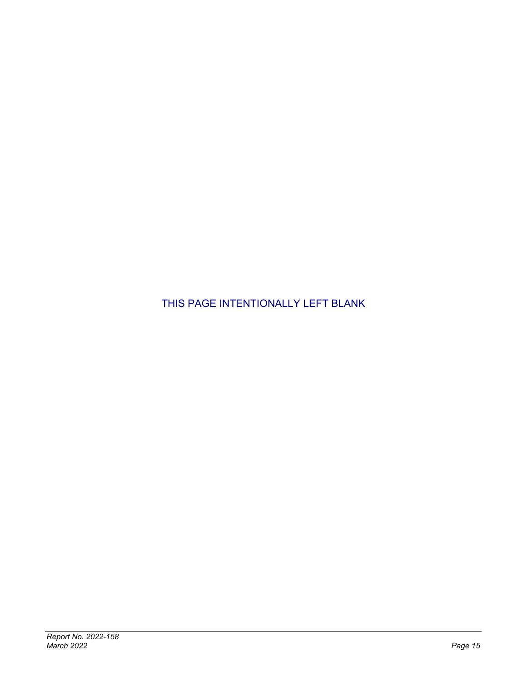THIS PAGE INTENTIONALLY LEFT BLANK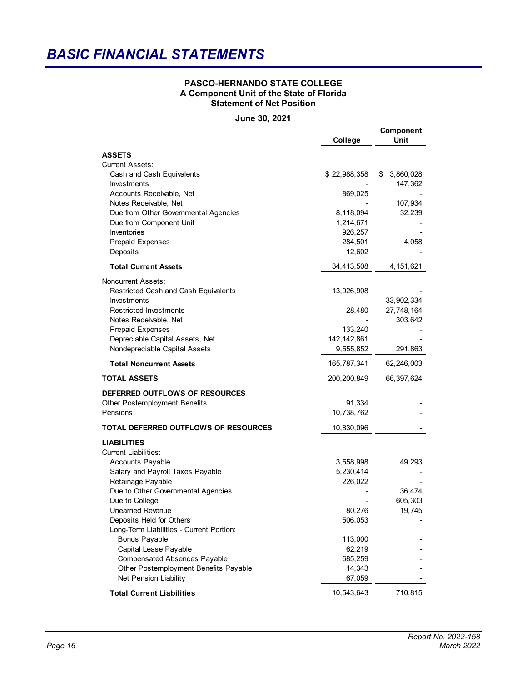# <span id="page-19-0"></span>*BASIC FINANCIAL STATEMENTS*

### **PASCO-HERNANDO STATE COLLEGE A Component Unit of the State of Florida Statement of Net Position**

**June 30, 2021** 

|                                                                |                   | Component       |
|----------------------------------------------------------------|-------------------|-----------------|
|                                                                | College           | Unit            |
| <b>ASSETS</b>                                                  |                   |                 |
| <b>Current Assets:</b>                                         |                   |                 |
| Cash and Cash Equivalents                                      | \$22,988,358      | 3,860,028<br>\$ |
| Investments                                                    |                   | 147,362         |
| Accounts Receivable, Net                                       | 869,025           |                 |
| Notes Receivable, Net                                          |                   | 107,934         |
| Due from Other Governmental Agencies                           | 8,118,094         | 32,239          |
| Due from Component Unit                                        | 1,214,671         |                 |
| Inventories                                                    | 926,257           |                 |
| <b>Prepaid Expenses</b>                                        | 284,501           | 4,058           |
| Deposits                                                       | 12,602            |                 |
| <b>Total Current Assets</b>                                    | 34,413,508        | 4, 151, 621     |
| <b>Noncurrent Assets:</b>                                      |                   |                 |
| Restricted Cash and Cash Equivalents                           | 13,926,908        |                 |
| Investments                                                    |                   | 33,902,334      |
| <b>Restricted Investments</b>                                  | 28,480            | 27,748,164      |
| Notes Receivable, Net                                          |                   | 303,642         |
| <b>Prepaid Expenses</b>                                        | 133,240           |                 |
| Depreciable Capital Assets, Net                                | 142, 142, 861     |                 |
| Nondepreciable Capital Assets                                  | 9,555,852         | 291,863         |
| <b>Total Noncurrent Assets</b>                                 | 165,787,341       | 62,246,003      |
| <b>TOTAL ASSETS</b>                                            | 200,200,849       | 66,397,624      |
| DEFERRED OUTFLOWS OF RESOURCES                                 |                   |                 |
| <b>Other Postemployment Benefits</b>                           | 91,334            |                 |
| Pensions                                                       | 10,738,762        |                 |
|                                                                |                   |                 |
| TOTAL DEFERRED OUTFLOWS OF RESOURCES                           | 10,830,096        |                 |
| <b>LIABILITIES</b>                                             |                   |                 |
| <b>Current Liabilities:</b>                                    |                   |                 |
| <b>Accounts Payable</b>                                        | 3,558,998         | 49,293          |
| Salary and Payroll Taxes Payable                               | 5,230,414         |                 |
| Retainage Payable                                              | 226,022           |                 |
| Due to Other Governmental Agencies                             |                   | 36,474          |
| Due to College                                                 |                   | 605,303         |
| Unearned Revenue                                               | 80,276            | 19,745          |
| Deposits Held for Others                                       | 506,053           |                 |
| Long-Term Liabilities - Current Portion:                       |                   |                 |
| <b>Bonds Payable</b>                                           | 113,000           |                 |
| Capital Lease Payable                                          | 62,219            |                 |
| <b>Compensated Absences Payable</b>                            | 685,259<br>14,343 |                 |
| Other Postemployment Benefits Payable<br>Net Pension Liability | 67,059            |                 |
|                                                                |                   |                 |
| <b>Total Current Liabilities</b>                               | 10,543,643        | 710,815         |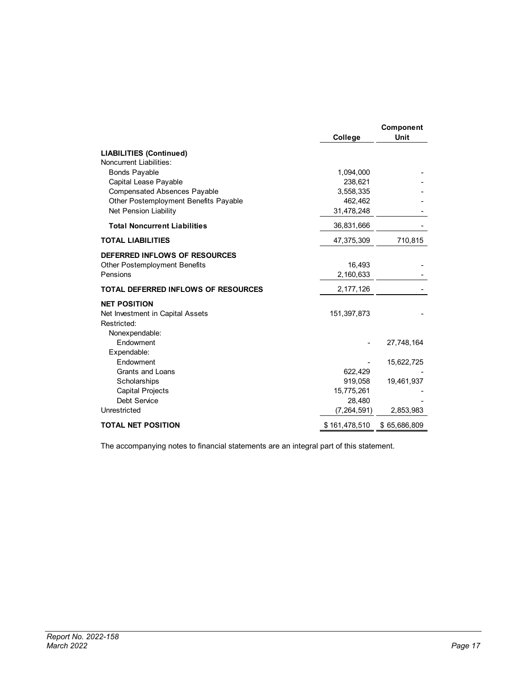|                                                                  | College       | Component<br>Unit |
|------------------------------------------------------------------|---------------|-------------------|
| <b>LIABILITIES (Continued)</b><br><b>Noncurrent Liabilities:</b> |               |                   |
| <b>Bonds Payable</b>                                             | 1,094,000     |                   |
| Capital Lease Payable                                            | 238,621       |                   |
| <b>Compensated Absences Payable</b>                              | 3,558,335     |                   |
| Other Postemployment Benefits Payable                            | 462,462       |                   |
| Net Pension Liability                                            | 31,478,248    |                   |
| <b>Total Noncurrent Liabilities</b>                              | 36,831,666    |                   |
| <b>TOTAL LIABILITIES</b>                                         | 47,375,309    | 710,815           |
| DEFERRED INFLOWS OF RESOURCES                                    |               |                   |
| <b>Other Postemployment Benefits</b>                             | 16,493        |                   |
| Pensions                                                         | 2,160,633     |                   |
| <b>TOTAL DEFERRED INFLOWS OF RESOURCES</b>                       | 2, 177, 126   |                   |
| <b>NET POSITION</b>                                              |               |                   |
| Net Investment in Capital Assets                                 | 151,397,873   |                   |
| Restricted:                                                      |               |                   |
| Nonexpendable:                                                   |               |                   |
| Endowment                                                        |               | 27,748,164        |
| Expendable:                                                      |               |                   |
| Endowment                                                        |               | 15,622,725        |
| Grants and Loans                                                 | 622,429       |                   |
| Scholarships                                                     | 919,058       | 19,461,937        |
| <b>Capital Projects</b>                                          | 15,775,261    |                   |
| Debt Service<br>Unrestricted                                     | 28,480        |                   |
|                                                                  | (7, 264, 591) | 2,853,983         |
| <b>TOTAL NET POSITION</b>                                        | \$161,478,510 | \$65,686,809      |

The accompanying notes to financial statements are an integral part of this statement.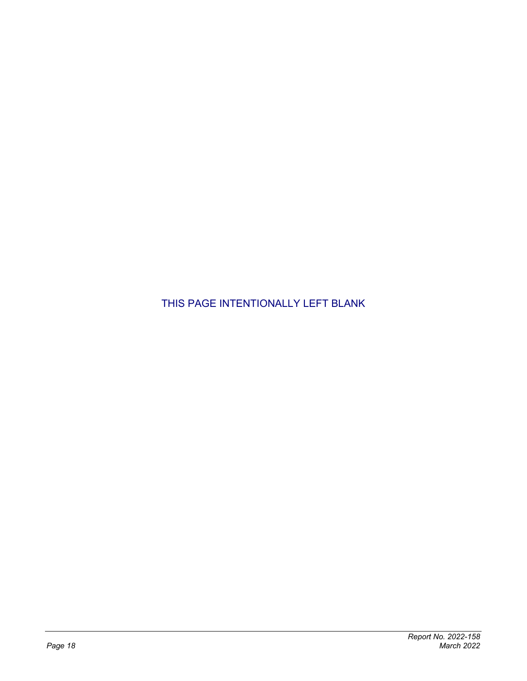THIS PAGE INTENTIONALLY LEFT BLANK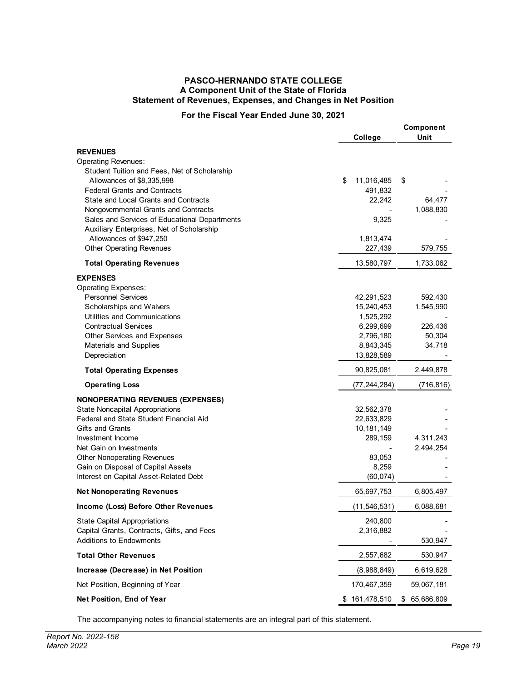### **PASCO-HERNANDO STATE COLLEGE A Component Unit of the State of Florida Statement of Revenues, Expenses, and Changes in Net Position**

### **For the Fiscal Year Ended June 30, 2021**

<span id="page-22-0"></span>

|                                               |                  | Component        |
|-----------------------------------------------|------------------|------------------|
|                                               | College          | Unit             |
| <b>REVENUES</b>                               |                  |                  |
| <b>Operating Revenues:</b>                    |                  |                  |
| Student Tuition and Fees, Net of Scholarship  |                  |                  |
| Allowances of \$8,335,998                     | \$<br>11,016,485 | \$               |
| <b>Federal Grants and Contracts</b>           | 491,832          |                  |
| State and Local Grants and Contracts          | 22,242           | 64,477           |
| Nongovernmental Grants and Contracts          |                  | 1,088,830        |
| Sales and Services of Educational Departments | 9,325            |                  |
| Auxiliary Enterprises, Net of Scholarship     |                  |                  |
| Allowances of \$947,250                       | 1,813,474        |                  |
| <b>Other Operating Revenues</b>               | 227,439          | 579,755          |
| <b>Total Operating Revenues</b>               | 13,580,797       | 1,733,062        |
| <b>EXPENSES</b>                               |                  |                  |
| <b>Operating Expenses:</b>                    |                  |                  |
| <b>Personnel Services</b>                     | 42,291,523       | 592,430          |
| Scholarships and Waivers                      | 15,240,453       | 1,545,990        |
| Utilities and Communications                  | 1,525,292        |                  |
| <b>Contractual Services</b>                   | 6,299,699        | 226,436          |
| Other Services and Expenses                   | 2,796,180        | 50,304           |
| <b>Materials and Supplies</b>                 | 8,843,345        | 34,718           |
| Depreciation                                  | 13,828,589       |                  |
| <b>Total Operating Expenses</b>               | 90,825,081       | 2,449,878        |
| <b>Operating Loss</b>                         | (77, 244, 284)   | (716, 816)       |
| <b>NONOPERATING REVENUES (EXPENSES)</b>       |                  |                  |
| <b>State Noncapital Appropriations</b>        | 32,562,378       |                  |
| Federal and State Student Financial Aid       | 22,633,829       |                  |
| Gifts and Grants                              | 10,181,149       |                  |
| Investment Income                             | 289,159          | 4,311,243        |
| Net Gain on Investments                       |                  | 2,494,254        |
| <b>Other Nonoperating Revenues</b>            | 83,053           |                  |
| Gain on Disposal of Capital Assets            | 8,259            |                  |
| Interest on Capital Asset-Related Debt        | (60, 074)        |                  |
| <b>Net Nonoperating Revenues</b>              | 65,697,753       | 6,805,497        |
| Income (Loss) Before Other Revenues           | (11, 546, 531)   | 6,088,681        |
| <b>State Capital Appropriations</b>           | 240,800          |                  |
| Capital Grants, Contracts, Gifts, and Fees    | 2,316,882        |                  |
| <b>Additions to Endowments</b>                |                  | 530,947          |
| <b>Total Other Revenues</b>                   | 2,557,682        | 530,947          |
| Increase (Decrease) in Net Position           | (8,988,849)      | 6,619,628        |
| Net Position, Beginning of Year               | 170,467,359      | 59,067,181       |
| Net Position, End of Year                     | \$161,478,510    | \$<br>65,686,809 |

The accompanying notes to financial statements are an integral part of this statement.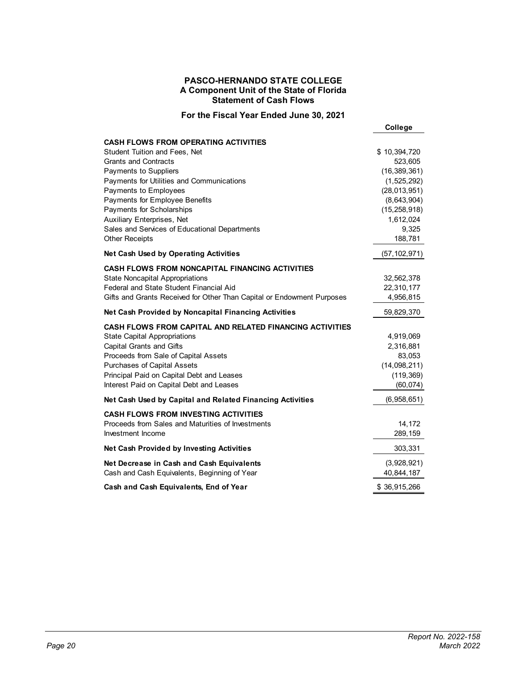### **PASCO-HERNANDO STATE COLLEGE A Component Unit of the State of Florida Statement of Cash Flows**

**For the Fiscal Year Ended June 30, 2021** 

<span id="page-23-0"></span>

|                                                                        | College        |
|------------------------------------------------------------------------|----------------|
| <b>CASH FLOWS FROM OPERATING ACTIVITIES</b>                            |                |
| <b>Student Tuition and Fees, Net</b>                                   | \$10,394,720   |
| <b>Grants and Contracts</b>                                            | 523,605        |
| Payments to Suppliers                                                  | (16, 389, 361) |
| Payments for Utilities and Communications                              | (1,525,292)    |
| Payments to Employees                                                  | (28, 013, 951) |
| Payments for Employee Benefits                                         | (8,643,904)    |
| Payments for Scholarships                                              | (15, 258, 918) |
| Auxiliary Enterprises, Net                                             | 1,612,024      |
| Sales and Services of Educational Departments                          | 9,325          |
| <b>Other Receipts</b>                                                  | 188,781        |
| <b>Net Cash Used by Operating Activities</b>                           | (57, 102, 971) |
| <b>CASH FLOWS FROM NONCAPITAL FINANCING ACTIVITIES</b>                 |                |
| <b>State Noncapital Appropriations</b>                                 | 32,562,378     |
| <b>Federal and State Student Financial Aid</b>                         | 22,310,177     |
| Gifts and Grants Received for Other Than Capital or Endowment Purposes | 4,956,815      |
| Net Cash Provided by Noncapital Financing Activities                   | 59,829,370     |
| <b>CASH FLOWS FROM CAPITAL AND RELATED FINANCING ACTIVITIES</b>        |                |
| <b>State Capital Appropriations</b>                                    | 4,919,069      |
| <b>Capital Grants and Gifts</b>                                        | 2,316,881      |
| Proceeds from Sale of Capital Assets                                   | 83,053         |
| Purchases of Capital Assets                                            | (14,098,211)   |
| Principal Paid on Capital Debt and Leases                              | (119, 369)     |
| Interest Paid on Capital Debt and Leases                               | (60, 074)      |
| Net Cash Used by Capital and Related Financing Activities              | (6,958,651)    |
| <b>CASH FLOWS FROM INVESTING ACTIVITIES</b>                            |                |
| Proceeds from Sales and Maturities of Investments                      | 14,172         |
| Investment Income                                                      | 289,159        |
| Net Cash Provided by Investing Activities                              | 303,331        |
| Net Decrease in Cash and Cash Equivalents                              | (3,928,921)    |
| Cash and Cash Equivalents, Beginning of Year                           | 40,844,187     |
| Cash and Cash Equivalents, End of Year                                 | \$36,915,266   |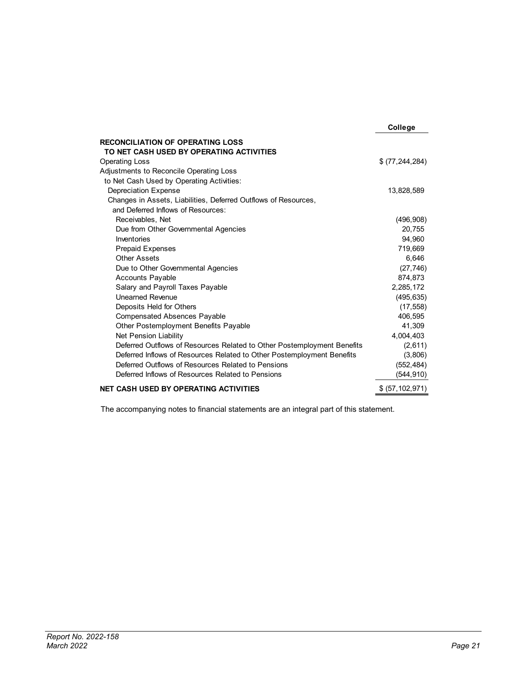|                                                                         | College           |
|-------------------------------------------------------------------------|-------------------|
| <b>RECONCILIATION OF OPERATING LOSS</b>                                 |                   |
| TO NET CASH USED BY OPERATING ACTIVITIES                                |                   |
| <b>Operating Loss</b>                                                   | \$ (77, 244, 284) |
| Adjustments to Reconcile Operating Loss                                 |                   |
| to Net Cash Used by Operating Activities:                               |                   |
| <b>Depreciation Expense</b>                                             | 13,828,589        |
| Changes in Assets, Liabilities, Deferred Outflows of Resources,         |                   |
| and Deferred Inflows of Resources:                                      |                   |
| Receivables, Net                                                        | (496, 908)        |
| Due from Other Governmental Agencies                                    | 20,755            |
| Inventories                                                             | 94,960            |
| <b>Prepaid Expenses</b>                                                 | 719.669           |
| <b>Other Assets</b>                                                     | 6,646             |
| Due to Other Governmental Agencies                                      | (27, 746)         |
| Accounts Payable                                                        | 874,873           |
| Salary and Payroll Taxes Payable                                        | 2,285,172         |
| Unearned Revenue                                                        | (495, 635)        |
| Deposits Held for Others                                                | (17, 558)         |
| <b>Compensated Absences Payable</b>                                     | 406,595           |
| Other Postemployment Benefits Payable                                   | 41.309            |
| Net Pension Liability                                                   | 4,004,403         |
| Deferred Outflows of Resources Related to Other Postemployment Benefits | (2,611)           |
| Deferred Inflows of Resources Related to Other Postemployment Benefits  | (3,806)           |
| Deferred Outflows of Resources Related to Pensions                      | (552, 484)        |
| Deferred Inflows of Resources Related to Pensions                       | (544, 910)        |
| NET CASH USED BY OPERATING ACTIVITIES                                   | \$ (57, 102, 971) |

The accompanying notes to financial statements are an integral part of this statement.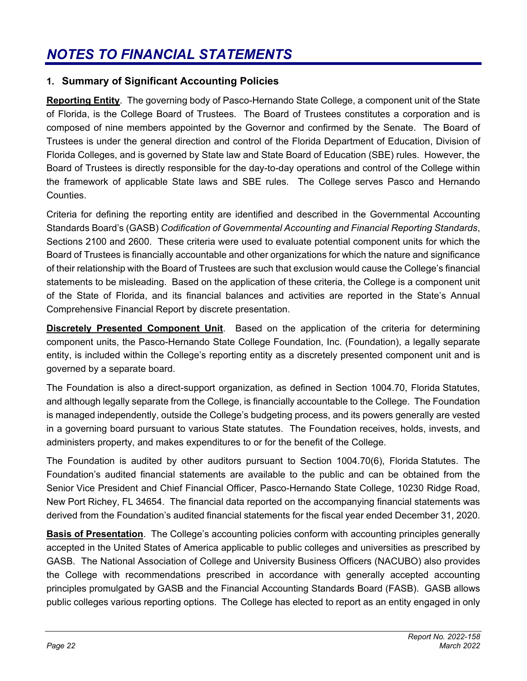# <span id="page-25-0"></span>*NOTES TO FINANCIAL STATEMENTS*

# **1. Summary of Significant Accounting Policies**

**Reporting Entity**. The governing body of Pasco-Hernando State College, a component unit of the State of Florida, is the College Board of Trustees. The Board of Trustees constitutes a corporation and is composed of nine members appointed by the Governor and confirmed by the Senate. The Board of Trustees is under the general direction and control of the Florida Department of Education, Division of Florida Colleges, and is governed by State law and State Board of Education (SBE) rules. However, the Board of Trustees is directly responsible for the day-to-day operations and control of the College within the framework of applicable State laws and SBE rules. The College serves Pasco and Hernando Counties.

Criteria for defining the reporting entity are identified and described in the Governmental Accounting Standards Board's (GASB) *Codification of Governmental Accounting and Financial Reporting Standards*, Sections 2100 and 2600. These criteria were used to evaluate potential component units for which the Board of Trustees is financially accountable and other organizations for which the nature and significance of their relationship with the Board of Trustees are such that exclusion would cause the College's financial statements to be misleading. Based on the application of these criteria, the College is a component unit of the State of Florida, and its financial balances and activities are reported in the State's Annual Comprehensive Financial Report by discrete presentation.

**Discretely Presented Component Unit**. Based on the application of the criteria for determining component units, the Pasco-Hernando State College Foundation, Inc. (Foundation), a legally separate entity, is included within the College's reporting entity as a discretely presented component unit and is governed by a separate board.

The Foundation is also a direct-support organization, as defined in Section 1004.70, Florida Statutes, and although legally separate from the College, is financially accountable to the College. The Foundation is managed independently, outside the College's budgeting process, and its powers generally are vested in a governing board pursuant to various State statutes. The Foundation receives, holds, invests, and administers property, and makes expenditures to or for the benefit of the College.

The Foundation is audited by other auditors pursuant to Section 1004.70(6), Florida Statutes. The Foundation's audited financial statements are available to the public and can be obtained from the Senior Vice President and Chief Financial Officer, Pasco-Hernando State College, 10230 Ridge Road, New Port Richey, FL 34654. The financial data reported on the accompanying financial statements was derived from the Foundation's audited financial statements for the fiscal year ended December 31, 2020.

**Basis of Presentation**. The College's accounting policies conform with accounting principles generally accepted in the United States of America applicable to public colleges and universities as prescribed by GASB. The National Association of College and University Business Officers (NACUBO) also provides the College with recommendations prescribed in accordance with generally accepted accounting principles promulgated by GASB and the Financial Accounting Standards Board (FASB). GASB allows public colleges various reporting options. The College has elected to report as an entity engaged in only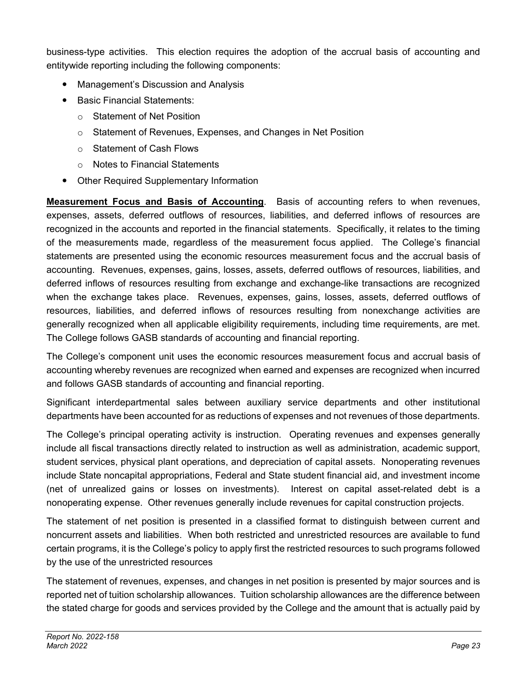business-type activities. This election requires the adoption of the accrual basis of accounting and entitywide reporting including the following components:

- Management's Discussion and Analysis
- Basic Financial Statements:
	- o Statement of Net Position
	- o Statement of Revenues, Expenses, and Changes in Net Position
	- o Statement of Cash Flows
	- o Notes to Financial Statements
- Other Required Supplementary Information

**Measurement Focus and Basis of Accounting**. Basis of accounting refers to when revenues, expenses, assets, deferred outflows of resources, liabilities, and deferred inflows of resources are recognized in the accounts and reported in the financial statements. Specifically, it relates to the timing of the measurements made, regardless of the measurement focus applied. The College's financial statements are presented using the economic resources measurement focus and the accrual basis of accounting. Revenues, expenses, gains, losses, assets, deferred outflows of resources, liabilities, and deferred inflows of resources resulting from exchange and exchange-like transactions are recognized when the exchange takes place. Revenues, expenses, gains, losses, assets, deferred outflows of resources, liabilities, and deferred inflows of resources resulting from nonexchange activities are generally recognized when all applicable eligibility requirements, including time requirements, are met. The College follows GASB standards of accounting and financial reporting.

The College's component unit uses the economic resources measurement focus and accrual basis of accounting whereby revenues are recognized when earned and expenses are recognized when incurred and follows GASB standards of accounting and financial reporting.

Significant interdepartmental sales between auxiliary service departments and other institutional departments have been accounted for as reductions of expenses and not revenues of those departments.

The College's principal operating activity is instruction. Operating revenues and expenses generally include all fiscal transactions directly related to instruction as well as administration, academic support, student services, physical plant operations, and depreciation of capital assets. Nonoperating revenues include State noncapital appropriations, Federal and State student financial aid, and investment income (net of unrealized gains or losses on investments). Interest on capital asset-related debt is a nonoperating expense. Other revenues generally include revenues for capital construction projects.

The statement of net position is presented in a classified format to distinguish between current and noncurrent assets and liabilities. When both restricted and unrestricted resources are available to fund certain programs, it is the College's policy to apply first the restricted resources to such programs followed by the use of the unrestricted resources

The statement of revenues, expenses, and changes in net position is presented by major sources and is reported net of tuition scholarship allowances. Tuition scholarship allowances are the difference between the stated charge for goods and services provided by the College and the amount that is actually paid by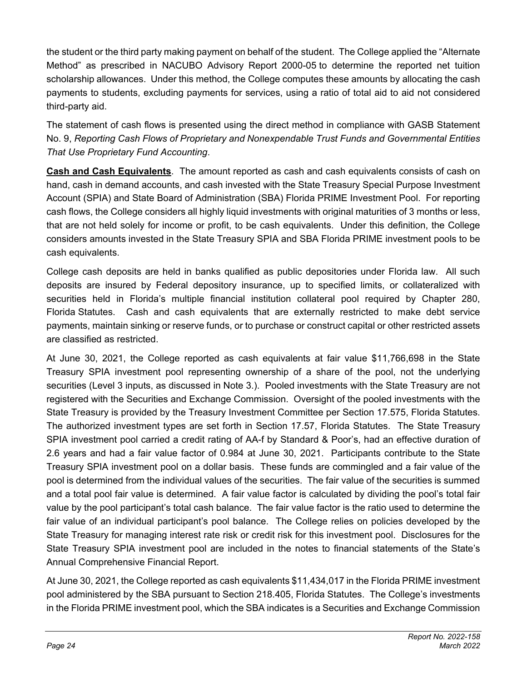the student or the third party making payment on behalf of the student. The College applied the "Alternate Method" as prescribed in NACUBO Advisory Report 2000-05 to determine the reported net tuition scholarship allowances. Under this method, the College computes these amounts by allocating the cash payments to students, excluding payments for services, using a ratio of total aid to aid not considered third-party aid.

The statement of cash flows is presented using the direct method in compliance with GASB Statement No. 9, *Reporting Cash Flows of Proprietary and Nonexpendable Trust Funds and Governmental Entities That Use Proprietary Fund Accounting*.

**Cash and Cash Equivalents**. The amount reported as cash and cash equivalents consists of cash on hand, cash in demand accounts, and cash invested with the State Treasury Special Purpose Investment Account (SPIA) and State Board of Administration (SBA) Florida PRIME Investment Pool. For reporting cash flows, the College considers all highly liquid investments with original maturities of 3 months or less, that are not held solely for income or profit, to be cash equivalents. Under this definition, the College considers amounts invested in the State Treasury SPIA and SBA Florida PRIME investment pools to be cash equivalents.

College cash deposits are held in banks qualified as public depositories under Florida law. All such deposits are insured by Federal depository insurance, up to specified limits, or collateralized with securities held in Florida's multiple financial institution collateral pool required by Chapter 280, Florida Statutes. Cash and cash equivalents that are externally restricted to make debt service payments, maintain sinking or reserve funds, or to purchase or construct capital or other restricted assets are classified as restricted.

At June 30, 2021, the College reported as cash equivalents at fair value \$11,766,698 in the State Treasury SPIA investment pool representing ownership of a share of the pool, not the underlying securities (Level 3 inputs, as discussed in Note 3.). Pooled investments with the State Treasury are not registered with the Securities and Exchange Commission. Oversight of the pooled investments with the State Treasury is provided by the Treasury Investment Committee per Section 17.575, Florida Statutes. The authorized investment types are set forth in Section 17.57, Florida Statutes. The State Treasury SPIA investment pool carried a credit rating of AA-f by Standard & Poor's, had an effective duration of 2.6 years and had a fair value factor of 0.984 at June 30, 2021. Participants contribute to the State Treasury SPIA investment pool on a dollar basis. These funds are commingled and a fair value of the pool is determined from the individual values of the securities. The fair value of the securities is summed and a total pool fair value is determined. A fair value factor is calculated by dividing the pool's total fair value by the pool participant's total cash balance. The fair value factor is the ratio used to determine the fair value of an individual participant's pool balance. The College relies on policies developed by the State Treasury for managing interest rate risk or credit risk for this investment pool. Disclosures for the State Treasury SPIA investment pool are included in the notes to financial statements of the State's Annual Comprehensive Financial Report.

At June 30, 2021, the College reported as cash equivalents \$11,434,017 in the Florida PRIME investment pool administered by the SBA pursuant to Section 218.405, Florida Statutes. The College's investments in the Florida PRIME investment pool, which the SBA indicates is a Securities and Exchange Commission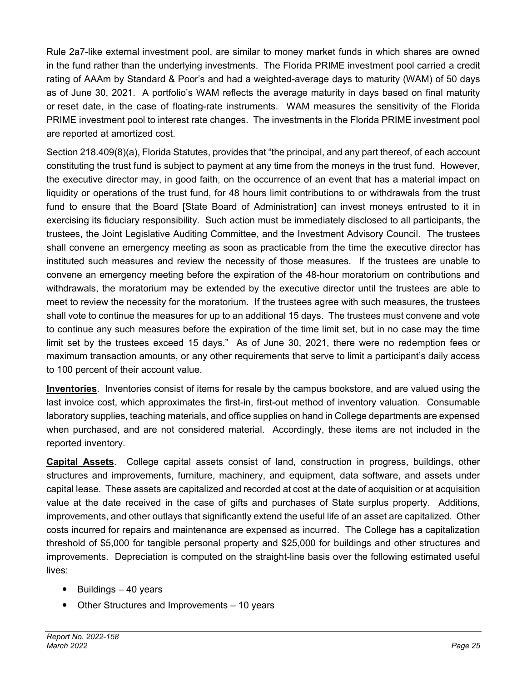Rule 2a7-like external investment pool, are similar to money market funds in which shares are owned in the fund rather than the underlying investments. The Florida PRIME investment pool carried a credit rating of AAAm by Standard & Poor's and had a weighted-average days to maturity (WAM) of 50 days as of June 30, 2021. A portfolio's WAM reflects the average maturity in days based on final maturity or reset date, in the case of floating-rate instruments. WAM measures the sensitivity of the Florida PRIME investment pool to interest rate changes. The investments in the Florida PRIME investment pool are reported at amortized cost.

Section 218.409(8)(a), Florida Statutes, provides that "the principal, and any part thereof, of each account constituting the trust fund is subject to payment at any time from the moneys in the trust fund. However, the executive director may, in good faith, on the occurrence of an event that has a material impact on liquidity or operations of the trust fund, for 48 hours limit contributions to or withdrawals from the trust fund to ensure that the Board [State Board of Administration] can invest moneys entrusted to it in exercising its fiduciary responsibility. Such action must be immediately disclosed to all participants, the trustees, the Joint Legislative Auditing Committee, and the Investment Advisory Council. The trustees shall convene an emergency meeting as soon as practicable from the time the executive director has instituted such measures and review the necessity of those measures. If the trustees are unable to convene an emergency meeting before the expiration of the 48-hour moratorium on contributions and withdrawals, the moratorium may be extended by the executive director until the trustees are able to meet to review the necessity for the moratorium. If the trustees agree with such measures, the trustees shall vote to continue the measures for up to an additional 15 days. The trustees must convene and vote to continue any such measures before the expiration of the time limit set, but in no case may the time limit set by the trustees exceed 15 days." As of June 30, 2021, there were no redemption fees or maximum transaction amounts, or any other requirements that serve to limit a participant's daily access to 100 percent of their account value.

**Inventories**. Inventories consist of items for resale by the campus bookstore, and are valued using the last invoice cost, which approximates the first-in, first-out method of inventory valuation. Consumable laboratory supplies, teaching materials, and office supplies on hand in College departments are expensed when purchased, and are not considered material. Accordingly, these items are not included in the reported inventory.

**Capital Assets**. College capital assets consist of land, construction in progress, buildings, other structures and improvements, furniture, machinery, and equipment, data software, and assets under capital lease. These assets are capitalized and recorded at cost at the date of acquisition or at acquisition value at the date received in the case of gifts and purchases of State surplus property. Additions, improvements, and other outlays that significantly extend the useful life of an asset are capitalized. Other costs incurred for repairs and maintenance are expensed as incurred. The College has a capitalization threshold of \$5,000 for tangible personal property and \$25,000 for buildings and other structures and improvements. Depreciation is computed on the straight-line basis over the following estimated useful lives:

- $\bullet$  Buildings 40 years
- Other Structures and Improvements 10 years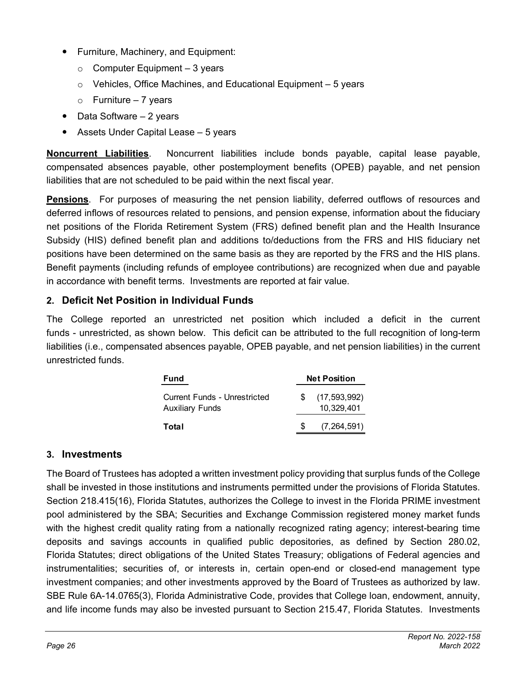- Furniture, Machinery, and Equipment:
	- $\circ$  Computer Equipment 3 years
	- $\circ$  Vehicles, Office Machines, and Educational Equipment 5 years
	- $\circ$  Furniture 7 years
- $\bullet$  Data Software  $-2$  years
- Assets Under Capital Lease 5 years

**Noncurrent Liabilities**. Noncurrent liabilities include bonds payable, capital lease payable, compensated absences payable, other postemployment benefits (OPEB) payable, and net pension liabilities that are not scheduled to be paid within the next fiscal year.

**Pensions**. For purposes of measuring the net pension liability, deferred outflows of resources and deferred inflows of resources related to pensions, and pension expense, information about the fiduciary net positions of the Florida Retirement System (FRS) defined benefit plan and the Health Insurance Subsidy (HIS) defined benefit plan and additions to/deductions from the FRS and HIS fiduciary net positions have been determined on the same basis as they are reported by the FRS and the HIS plans. Benefit payments (including refunds of employee contributions) are recognized when due and payable in accordance with benefit terms. Investments are reported at fair value.

# **2. Deficit Net Position in Individual Funds**

The College reported an unrestricted net position which included a deficit in the current funds - unrestricted, as shown below. This deficit can be attributed to the full recognition of long-term liabilities (i.e., compensated absences payable, OPEB payable, and net pension liabilities) in the current unrestricted funds.

| <b>Fund</b>                                                   | <b>Net Position</b> |                              |  |
|---------------------------------------------------------------|---------------------|------------------------------|--|
| <b>Current Funds - Unrestricted</b><br><b>Auxiliary Funds</b> |                     | (17, 593, 992)<br>10.329.401 |  |
| Total                                                         | \$.                 | (7, 264, 591)                |  |

# **3. Investments**

The Board of Trustees has adopted a written investment policy providing that surplus funds of the College shall be invested in those institutions and instruments permitted under the provisions of Florida Statutes. Section 218.415(16), Florida Statutes, authorizes the College to invest in the Florida PRIME investment pool administered by the SBA; Securities and Exchange Commission registered money market funds with the highest credit quality rating from a nationally recognized rating agency; interest-bearing time deposits and savings accounts in qualified public depositories, as defined by Section 280.02, Florida Statutes; direct obligations of the United States Treasury; obligations of Federal agencies and instrumentalities; securities of, or interests in, certain open-end or closed-end management type investment companies; and other investments approved by the Board of Trustees as authorized by law. SBE Rule 6A-14.0765(3), Florida Administrative Code, provides that College loan, endowment, annuity, and life income funds may also be invested pursuant to Section 215.47, Florida Statutes. Investments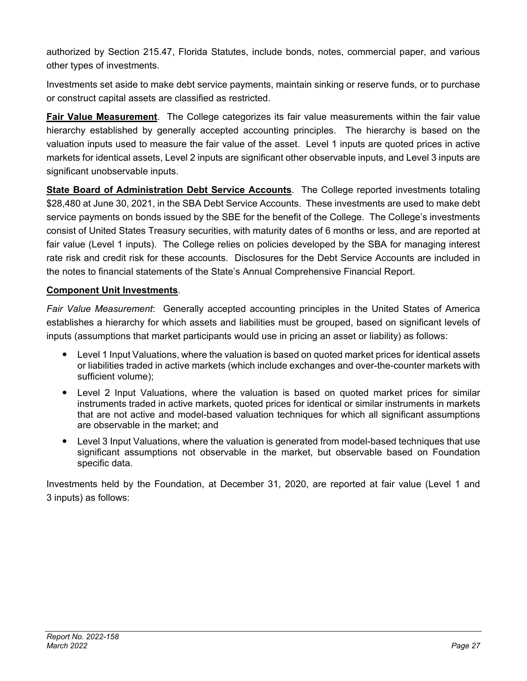authorized by Section 215.47, Florida Statutes, include bonds, notes, commercial paper, and various other types of investments.

Investments set aside to make debt service payments, maintain sinking or reserve funds, or to purchase or construct capital assets are classified as restricted.

**Fair Value Measurement**. The College categorizes its fair value measurements within the fair value hierarchy established by generally accepted accounting principles. The hierarchy is based on the valuation inputs used to measure the fair value of the asset. Level 1 inputs are quoted prices in active markets for identical assets, Level 2 inputs are significant other observable inputs, and Level 3 inputs are significant unobservable inputs.

**State Board of Administration Debt Service Accounts**. The College reported investments totaling \$28,480 at June 30, 2021, in the SBA Debt Service Accounts. These investments are used to make debt service payments on bonds issued by the SBE for the benefit of the College. The College's investments consist of United States Treasury securities, with maturity dates of 6 months or less, and are reported at fair value (Level 1 inputs). The College relies on policies developed by the SBA for managing interest rate risk and credit risk for these accounts. Disclosures for the Debt Service Accounts are included in the notes to financial statements of the State's Annual Comprehensive Financial Report.

# **Component Unit Investments**.

*Fair Value Measurement*: Generally accepted accounting principles in the United States of America establishes a hierarchy for which assets and liabilities must be grouped, based on significant levels of inputs (assumptions that market participants would use in pricing an asset or liability) as follows:

- Level 1 Input Valuations, where the valuation is based on quoted market prices for identical assets or liabilities traded in active markets (which include exchanges and over-the-counter markets with sufficient volume);
- Level 2 Input Valuations, where the valuation is based on quoted market prices for similar instruments traded in active markets, quoted prices for identical or similar instruments in markets that are not active and model-based valuation techniques for which all significant assumptions are observable in the market; and
- Level 3 Input Valuations, where the valuation is generated from model-based techniques that use significant assumptions not observable in the market, but observable based on Foundation specific data.

Investments held by the Foundation, at December 31, 2020, are reported at fair value (Level 1 and 3 inputs) as follows: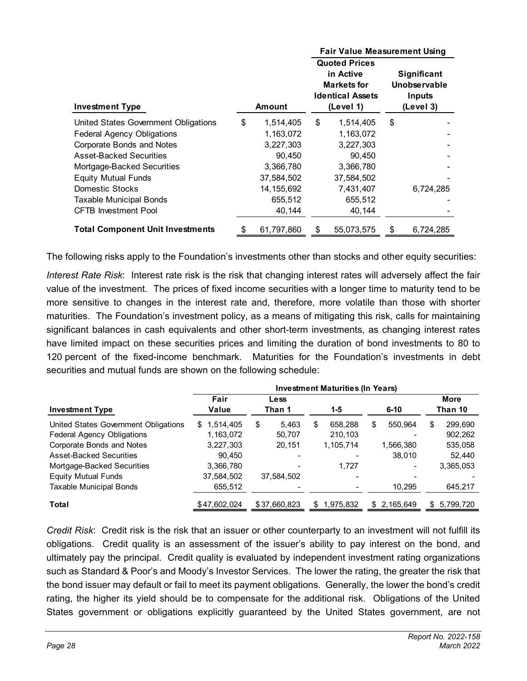|                                         |                  | <b>Fair Value Measurement Using</b> |                         |    |              |
|-----------------------------------------|------------------|-------------------------------------|-------------------------|----|--------------|
|                                         |                  | <b>Quoted Prices</b>                |                         |    |              |
|                                         |                  |                                     | in Active               |    | Significant  |
|                                         |                  |                                     | <b>Markets for</b>      |    | Unobservable |
|                                         |                  |                                     | <b>Identical Assets</b> |    | Inputs       |
| <b>Investment Type</b>                  | <b>Amount</b>    |                                     | (Level 1)               |    | (Level 3)    |
| United States Government Obligations    | \$<br>1,514,405  | \$                                  | 1,514,405               | \$ |              |
| <b>Federal Agency Obligations</b>       | 1,163,072        |                                     | 1,163,072               |    |              |
| <b>Corporate Bonds and Notes</b>        | 3,227,303        |                                     | 3,227,303               |    |              |
| <b>Asset-Backed Securities</b>          | 90,450           |                                     | 90.450                  |    |              |
| Mortgage-Backed Securities              | 3,366,780        |                                     | 3,366,780               |    |              |
| <b>Equity Mutual Funds</b>              | 37,584,502       |                                     | 37,584,502              |    |              |
| Domestic Stocks                         | 14, 155, 692     |                                     | 7,431,407               |    | 6,724,285    |
| <b>Taxable Municipal Bonds</b>          | 655,512          |                                     | 655,512                 |    |              |
| <b>CFTB Investment Pool</b>             | 40,144           |                                     | 40,144                  |    |              |
| <b>Total Component Unit Investments</b> | \$<br>61,797,860 | \$                                  | 55,073,575              |    | 6,724,285    |

The following risks apply to the Foundation's investments other than stocks and other equity securities:

*Interest Rate Risk*: Interest rate risk is the risk that changing interest rates will adversely affect the fair value of the investment. The prices of fixed income securities with a longer time to maturity tend to be more sensitive to changes in the interest rate and, therefore, more volatile than those with shorter maturities. The Foundation's investment policy, as a means of mitigating this risk, calls for maintaining significant balances in cash equivalents and other short-term investments, as changing interest rates have limited impact on these securities prices and limiting the duration of bond investments to 80 to 120 percent of the fixed-income benchmark. Maturities for the Foundation's investments in debt securities and mutual funds are shown on the following schedule:

|                                      | <b>Investment Maturities (In Years)</b> |              |                 |               |               |  |
|--------------------------------------|-----------------------------------------|--------------|-----------------|---------------|---------------|--|
|                                      | Fair                                    | Less         |                 |               | <b>More</b>   |  |
| <b>Investment Type</b>               | Value                                   | Than 1       | $1 - 5$         | $6 - 10$      | Than 10       |  |
| United States Government Obligations | 1,514,405<br>S.                         | \$<br>5,463  | \$<br>658,288   | \$<br>550.964 | \$<br>299,690 |  |
| <b>Federal Agency Obligations</b>    | 1,163,072                               | 50.707       | 210.103         |               | 902,262       |  |
| Corporate Bonds and Notes            | 3,227,303                               | 20,151       | 1,105,714       | 1,566,380     | 535,058       |  |
| <b>Asset-Backed Securities</b>       | 90.450                                  |              |                 | 38.010        | 52,440        |  |
| Mortgage-Backed Securities           | 3,366,780                               |              | 1,727           |               | 3,365,053     |  |
| <b>Equity Mutual Funds</b>           | 37,584,502                              | 37,584,502   |                 |               |               |  |
| <b>Taxable Municipal Bonds</b>       | 655,512                                 |              |                 | 10,295        | 645,217       |  |
| <b>Total</b>                         | \$47,602,024                            | \$37,660,823 | 1,975,832<br>\$ | \$2,165,649   | \$5,799,720   |  |

*Credit Risk*: Credit risk is the risk that an issuer or other counterparty to an investment will not fulfill its obligations. Credit quality is an assessment of the issuer's ability to pay interest on the bond, and ultimately pay the principal. Credit quality is evaluated by independent investment rating organizations such as Standard & Poor's and Moody's Investor Services. The lower the rating, the greater the risk that the bond issuer may default or fail to meet its payment obligations. Generally, the lower the bond's credit rating, the higher its yield should be to compensate for the additional risk. Obligations of the United States government or obligations explicitly guaranteed by the United States government, are not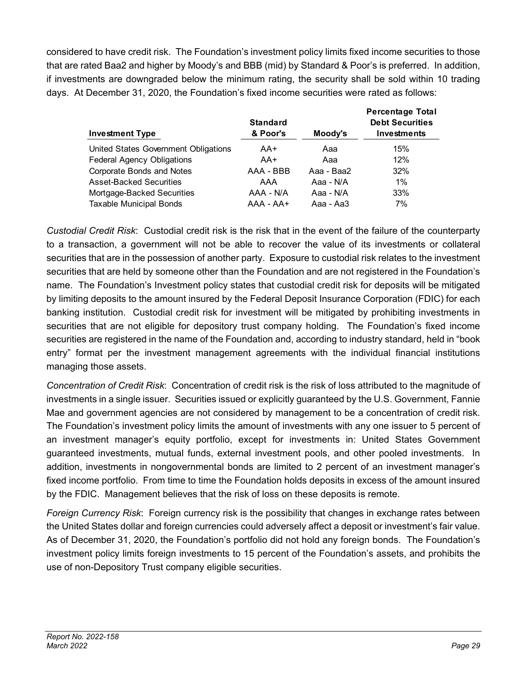considered to have credit risk. The Foundation's investment policy limits fixed income securities to those that are rated Baa2 and higher by Moody's and BBB (mid) by Standard & Poor's is preferred. In addition, if investments are downgraded below the minimum rating, the security shall be sold within 10 trading days. At December 31, 2020, the Foundation's fixed income securities were rated as follows:

| <b>Investment Type</b>               | <b>Standard</b><br>& Poor's | Moody's    | <b>Percentage Total</b><br><b>Debt Securities</b><br><b>Investments</b> |
|--------------------------------------|-----------------------------|------------|-------------------------------------------------------------------------|
| United States Government Obligations | AA+                         | Aaa        | 15%                                                                     |
| <b>Federal Agency Obligations</b>    | AA+                         | Aaa        | 12%                                                                     |
| <b>Corporate Bonds and Notes</b>     | AAA - BBB                   | Aaa - Baa2 | 32%                                                                     |
| <b>Asset-Backed Securities</b>       | AAA                         | Aaa - N/A  | $1\%$                                                                   |
| Mortgage-Backed Securities           | AAA - N/A                   | Aaa - N/A  | 33%                                                                     |
| <b>Taxable Municipal Bonds</b>       | $AAA - A$                   | Aaa - Aa3  | 7%                                                                      |

*Custodial Credit Risk*: Custodial credit risk is the risk that in the event of the failure of the counterparty to a transaction, a government will not be able to recover the value of its investments or collateral securities that are in the possession of another party. Exposure to custodial risk relates to the investment securities that are held by someone other than the Foundation and are not registered in the Foundation's name. The Foundation's Investment policy states that custodial credit risk for deposits will be mitigated by limiting deposits to the amount insured by the Federal Deposit Insurance Corporation (FDIC) for each banking institution. Custodial credit risk for investment will be mitigated by prohibiting investments in securities that are not eligible for depository trust company holding. The Foundation's fixed income securities are registered in the name of the Foundation and, according to industry standard, held in "book entry" format per the investment management agreements with the individual financial institutions managing those assets.

*Concentration of Credit Risk*: Concentration of credit risk is the risk of loss attributed to the magnitude of investments in a single issuer. Securities issued or explicitly guaranteed by the U.S. Government, Fannie Mae and government agencies are not considered by management to be a concentration of credit risk. The Foundation's investment policy limits the amount of investments with any one issuer to 5 percent of an investment manager's equity portfolio, except for investments in: United States Government guaranteed investments, mutual funds, external investment pools, and other pooled investments. In addition, investments in nongovernmental bonds are limited to 2 percent of an investment manager's fixed income portfolio. From time to time the Foundation holds deposits in excess of the amount insured by the FDIC. Management believes that the risk of loss on these deposits is remote.

*Foreign Currency Risk*: Foreign currency risk is the possibility that changes in exchange rates between the United States dollar and foreign currencies could adversely affect a deposit or investment's fair value. As of December 31, 2020, the Foundation's portfolio did not hold any foreign bonds. The Foundation's investment policy limits foreign investments to 15 percent of the Foundation's assets, and prohibits the use of non-Depository Trust company eligible securities.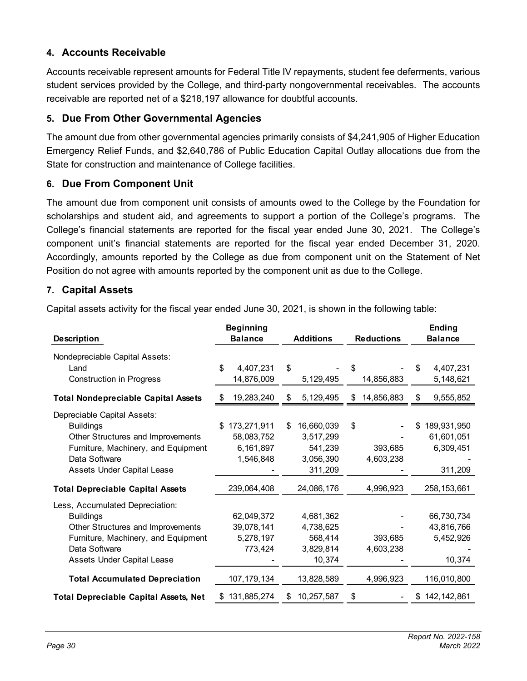# **4. Accounts Receivable**

Accounts receivable represent amounts for Federal Title IV repayments, student fee deferments, various student services provided by the College, and third-party nongovernmental receivables. The accounts receivable are reported net of a \$218,197 allowance for doubtful accounts.

# **5. Due From Other Governmental Agencies**

The amount due from other governmental agencies primarily consists of \$4,241,905 of Higher Education Emergency Relief Funds, and \$2,640,786 of Public Education Capital Outlay allocations due from the State for construction and maintenance of College facilities.

# **6. Due From Component Unit**

The amount due from component unit consists of amounts owed to the College by the Foundation for scholarships and student aid, and agreements to support a portion of the College's programs. The College's financial statements are reported for the fiscal year ended June 30, 2021. The College's component unit's financial statements are reported for the fiscal year ended December 31, 2020. Accordingly, amounts reported by the College as due from component unit on the Statement of Net Position do not agree with amounts reported by the component unit as due to the College.

# **7. Capital Assets**

Capital assets activity for the fiscal year ended June 30, 2021, is shown in the following table:

|                                              | <b>Beginning</b>  |                  |                   | Ending            |
|----------------------------------------------|-------------------|------------------|-------------------|-------------------|
| <b>Description</b>                           | <b>Balance</b>    | <b>Additions</b> | <b>Reductions</b> | <b>Balance</b>    |
| Nondepreciable Capital Assets:               |                   |                  |                   |                   |
| Land                                         | \$<br>4,407,231   | \$               | \$                | \$<br>4,407,231   |
| <b>Construction in Progress</b>              | 14,876,009        | 5,129,495        | 14,856,883        | 5,148,621         |
| <b>Total Nondepreciable Capital Assets</b>   | 19,283,240<br>-\$ | 5,129,495<br>\$  | 14,856,883<br>\$  | 9,555,852<br>\$   |
| Depreciable Capital Assets:                  |                   |                  |                   |                   |
| <b>Buildings</b>                             | 173,271,911<br>\$ | 16,660,039<br>\$ | \$                | 189,931,950<br>\$ |
| Other Structures and Improvements            | 58,083,752        | 3,517,299        |                   | 61,601,051        |
| Furniture, Machinery, and Equipment          | 6,161,897         | 541,239          | 393,685           | 6,309,451         |
| Data Software                                | 1,546,848         | 3,056,390        | 4,603,238         |                   |
| Assets Under Capital Lease                   |                   | 311,209          |                   | 311,209           |
| <b>Total Depreciable Capital Assets</b>      | 239,064,408       | 24,086,176       | 4,996,923         | 258, 153, 661     |
| Less, Accumulated Depreciation:              |                   |                  |                   |                   |
| <b>Buildings</b>                             | 62,049,372        | 4,681,362        |                   | 66,730,734        |
| Other Structures and Improvements            | 39,078,141        | 4,738,625        |                   | 43,816,766        |
| Furniture, Machinery, and Equipment          | 5,278,197         | 568,414          | 393,685           | 5,452,926         |
| Data Software                                | 773,424           | 3,829,814        | 4,603,238         |                   |
| Assets Under Capital Lease                   |                   | 10,374           |                   | 10,374            |
| <b>Total Accumulated Depreciation</b>        | 107, 179, 134     | 13,828,589       | 4,996,923         | 116,010,800       |
| <b>Total Depreciable Capital Assets, Net</b> | \$131,885,274     | 10,257,587       | \$                | \$142,142,861     |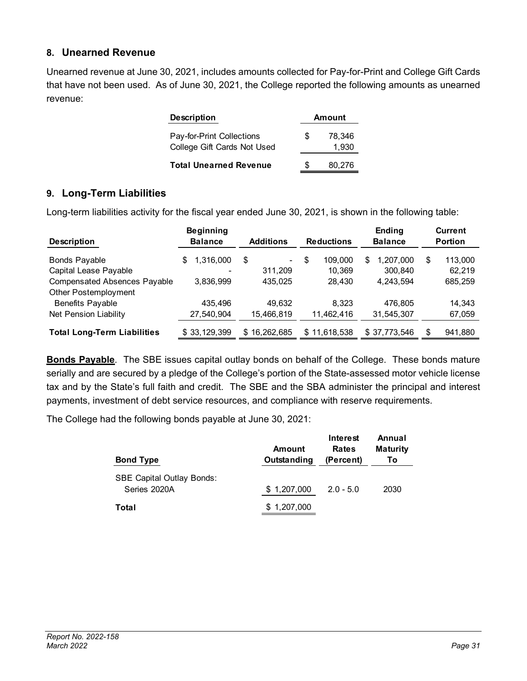# **8. Unearned Revenue**

Unearned revenue at June 30, 2021, includes amounts collected for Pay-for-Print and College Gift Cards that have not been used. As of June 30, 2021, the College reported the following amounts as unearned revenue:

| <b>Description</b>                                       |     | Amount          |  |  |
|----------------------------------------------------------|-----|-----------------|--|--|
| Pay-for-Print Collections<br>College Gift Cards Not Used | \$. | 78.346<br>1.930 |  |  |
| <b>Total Unearned Revenue</b>                            | £.  | 80.276          |  |  |

# **9. Long-Term Liabilities**

Long-term liabilities activity for the fiscal year ended June 30, 2021, is shown in the following table:

| <b>Description</b>                  | <b>Beginning</b><br><b>Balance</b> | <b>Additions</b> | <b>Reductions</b> | Ending<br><b>Current</b><br><b>Balance</b><br><b>Portion</b> |               |
|-------------------------------------|------------------------------------|------------------|-------------------|--------------------------------------------------------------|---------------|
| <b>Bonds Payable</b>                | 1,316,000<br>S                     | \$<br>۰.         | \$<br>109,000     | 1.207.000<br>S                                               | \$<br>113,000 |
| Capital Lease Payable               | -                                  | 311,209          | 10.369            | 300.840                                                      | 62.219        |
| <b>Compensated Absences Payable</b> | 3,836,999                          | 435,025          | 28,430            | 4,243,594                                                    | 685,259       |
| Other Postemployment                |                                    |                  |                   |                                                              |               |
| <b>Benefits Payable</b>             | 435.496                            | 49.632           | 8.323             | 476.805                                                      | 14.343        |
| Net Pension Liability               | 27,540,904                         | 15,466,819       | 11,462,416        | 31,545,307                                                   | 67,059        |
| <b>Total Long-Term Liabilities</b>  | \$33,129,399                       | \$16,262,685     | \$11,618,538      | \$37,773,546                                                 | \$<br>941,880 |

**Bonds Payable**. The SBE issues capital outlay bonds on behalf of the College. These bonds mature serially and are secured by a pledge of the College's portion of the State-assessed motor vehicle license tax and by the State's full faith and credit. The SBE and the SBA administer the principal and interest payments, investment of debt service resources, and compliance with reserve requirements.

The College had the following bonds payable at June 30, 2021:

| <b>Bond Type</b>                                 | Amount<br>Outstanding | Interest<br><b>Rates</b><br>(Percent) | Annual<br><b>Maturity</b><br>Тο |
|--------------------------------------------------|-----------------------|---------------------------------------|---------------------------------|
| <b>SBE Capital Outlay Bonds:</b><br>Series 2020A | \$1,207,000           | $2.0 - 5.0$                           | 2030                            |
| Total                                            | \$1,207,000           |                                       |                                 |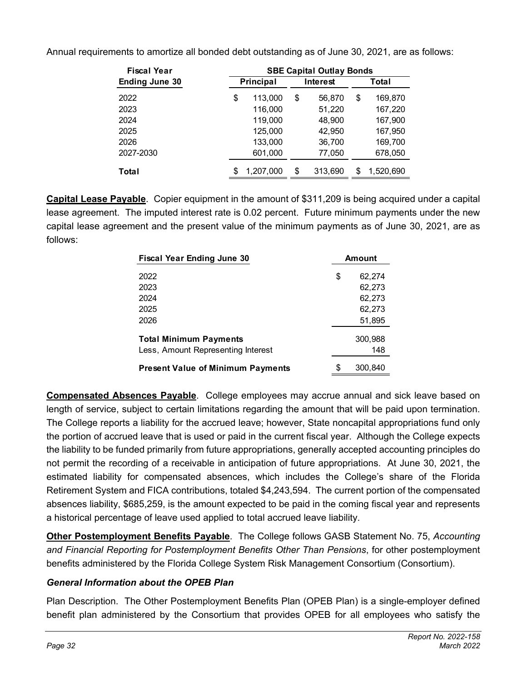| <b>Fiscal Year</b>    | <b>SBE Capital Outlay Bonds</b> |                              |    |         |    |           |
|-----------------------|---------------------------------|------------------------------|----|---------|----|-----------|
| <b>Ending June 30</b> |                                 | <b>Principal</b><br>Interest |    |         |    | Total     |
| 2022                  | \$                              | 113,000                      | \$ | 56,870  | \$ | 169,870   |
| 2023                  |                                 | 116,000                      |    | 51,220  |    | 167,220   |
| 2024                  |                                 | 119,000                      |    | 48,900  |    | 167,900   |
| 2025                  |                                 | 125,000                      |    | 42,950  |    | 167,950   |
| 2026                  |                                 | 133,000                      |    | 36,700  |    | 169,700   |
| 2027-2030             |                                 | 601,000                      |    | 77,050  |    | 678,050   |
| Total                 | \$                              | 1,207,000                    | \$ | 313,690 | \$ | 1,520,690 |

Annual requirements to amortize all bonded debt outstanding as of June 30, 2021, are as follows:

**Capital Lease Payable**. Copier equipment in the amount of \$311,209 is being acquired under a capital lease agreement. The imputed interest rate is 0.02 percent. Future minimum payments under the new capital lease agreement and the present value of the minimum payments as of June 30, 2021, are as follows:

| <b>Fiscal Year Ending June 30</b>                                   | Amount         |
|---------------------------------------------------------------------|----------------|
| 2022                                                                | \$<br>62,274   |
| 2023                                                                | 62,273         |
| 2024                                                                | 62,273         |
| 2025                                                                | 62,273         |
| 2026                                                                | 51,895         |
| <b>Total Minimum Payments</b><br>Less, Amount Representing Interest | 300,988<br>148 |
| <b>Present Value of Minimum Payments</b>                            | \$<br>300,840  |

**Compensated Absences Payable**. College employees may accrue annual and sick leave based on length of service, subject to certain limitations regarding the amount that will be paid upon termination. The College reports a liability for the accrued leave; however, State noncapital appropriations fund only the portion of accrued leave that is used or paid in the current fiscal year. Although the College expects the liability to be funded primarily from future appropriations, generally accepted accounting principles do not permit the recording of a receivable in anticipation of future appropriations. At June 30, 2021, the estimated liability for compensated absences, which includes the College's share of the Florida Retirement System and FICA contributions, totaled \$4,243,594. The current portion of the compensated absences liability, \$685,259, is the amount expected to be paid in the coming fiscal year and represents a historical percentage of leave used applied to total accrued leave liability.

**Other Postemployment Benefits Payable**. The College follows GASB Statement No. 75, *Accounting and Financial Reporting for Postemployment Benefits Other Than Pensions*, for other postemployment benefits administered by the Florida College System Risk Management Consortium (Consortium).

# *General Information about the OPEB Plan*

Plan Description. The Other Postemployment Benefits Plan (OPEB Plan) is a single-employer defined benefit plan administered by the Consortium that provides OPEB for all employees who satisfy the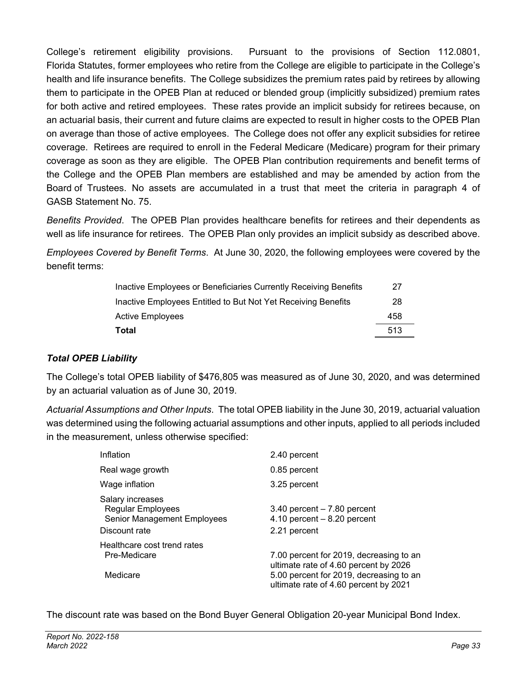College's retirement eligibility provisions. Pursuant to the provisions of Section 112.0801, Florida Statutes, former employees who retire from the College are eligible to participate in the College's health and life insurance benefits. The College subsidizes the premium rates paid by retirees by allowing them to participate in the OPEB Plan at reduced or blended group (implicitly subsidized) premium rates for both active and retired employees. These rates provide an implicit subsidy for retirees because, on an actuarial basis, their current and future claims are expected to result in higher costs to the OPEB Plan on average than those of active employees. The College does not offer any explicit subsidies for retiree coverage. Retirees are required to enroll in the Federal Medicare (Medicare) program for their primary coverage as soon as they are eligible. The OPEB Plan contribution requirements and benefit terms of the College and the OPEB Plan members are established and may be amended by action from the Board of Trustees. No assets are accumulated in a trust that meet the criteria in paragraph 4 of GASB Statement No. 75.

*Benefits Provided*. The OPEB Plan provides healthcare benefits for retirees and their dependents as well as life insurance for retirees. The OPEB Plan only provides an implicit subsidy as described above.

*Employees Covered by Benefit Terms*. At June 30, 2020, the following employees were covered by the benefit terms:

| Inactive Employees or Beneficiaries Currently Receiving Benefits | 27  |  |
|------------------------------------------------------------------|-----|--|
| Inactive Employees Entitled to But Not Yet Receiving Benefits    | 28  |  |
| Active Employees                                                 | 458 |  |
| Total                                                            | 513 |  |

# *Total OPEB Liability*

The College's total OPEB liability of \$476,805 was measured as of June 30, 2020, and was determined by an actuarial valuation as of June 30, 2019.

*Actuarial Assumptions and Other Inputs*. The total OPEB liability in the June 30, 2019, actuarial valuation was determined using the following actuarial assumptions and other inputs, applied to all periods included in the measurement, unless otherwise specified:

| Inflation                                                                                    | 2.40 percent                                                                                                                                                         |
|----------------------------------------------------------------------------------------------|----------------------------------------------------------------------------------------------------------------------------------------------------------------------|
| Real wage growth                                                                             | 0.85 percent                                                                                                                                                         |
| Wage inflation                                                                               | 3.25 percent                                                                                                                                                         |
| Salary increases<br><b>Regular Employees</b><br>Senior Management Employees<br>Discount rate | $3.40$ percent $-7.80$ percent<br>4.10 percent $-8.20$ percent<br>2.21 percent                                                                                       |
| Healthcare cost trend rates<br>Pre-Medicare<br>Medicare                                      | 7.00 percent for 2019, decreasing to an<br>ultimate rate of 4.60 percent by 2026<br>5.00 percent for 2019, decreasing to an<br>ultimate rate of 4.60 percent by 2021 |

The discount rate was based on the Bond Buyer General Obligation 20-year Municipal Bond Index.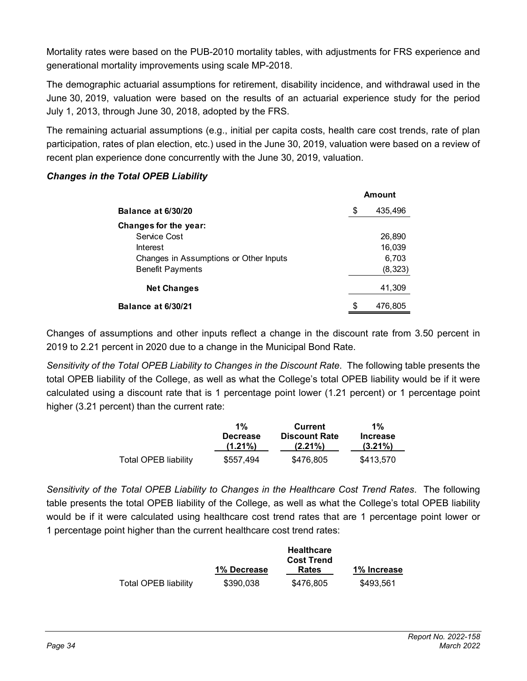Mortality rates were based on the PUB-2010 mortality tables, with adjustments for FRS experience and generational mortality improvements using scale MP-2018.

The demographic actuarial assumptions for retirement, disability incidence, and withdrawal used in the June 30, 2019, valuation were based on the results of an actuarial experience study for the period July 1, 2013, through June 30, 2018, adopted by the FRS.

The remaining actuarial assumptions (e.g., initial per capita costs, health care cost trends, rate of plan participation, rates of plan election, etc.) used in the June 30, 2019, valuation were based on a review of recent plan experience done concurrently with the June 30, 2019, valuation.

### *Changes in the Total OPEB Liability*

|                                        | Amount        |
|----------------------------------------|---------------|
| Balance at 6/30/20                     | \$<br>435,496 |
| Changes for the year:                  |               |
| Service Cost                           | 26,890        |
| Interest                               | 16,039        |
| Changes in Assumptions or Other Inputs | 6,703         |
| <b>Benefit Payments</b>                | (8, 323)      |
| <b>Net Changes</b>                     | 41,309        |
| Balance at 6/30/21                     | \$<br>476,805 |

Changes of assumptions and other inputs reflect a change in the discount rate from 3.50 percent in 2019 to 2.21 percent in 2020 due to a change in the Municipal Bond Rate.

*Sensitivity of the Total OPEB Liability to Changes in the Discount Rate*. The following table presents the total OPEB liability of the College, as well as what the College's total OPEB liability would be if it were calculated using a discount rate that is 1 percentage point lower (1.21 percent) or 1 percentage point higher (3.21 percent) than the current rate:

|                             | $1\%$<br><b>Decrease</b> | Current<br><b>Discount Rate</b> | $1\%$<br><b>Increase</b> |  |
|-----------------------------|--------------------------|---------------------------------|--------------------------|--|
|                             | $(1.21\%)$               | $(2.21\%)$                      | $(3.21\%)$               |  |
| <b>Total OPEB liability</b> | \$557.494                | \$476.805                       | \$413.570                |  |

*Sensitivity of the Total OPEB Liability to Changes in the Healthcare Cost Trend Rates*. The following table presents the total OPEB liability of the College, as well as what the College's total OPEB liability would be if it were calculated using healthcare cost trend rates that are 1 percentage point lower or 1 percentage point higher than the current healthcare cost trend rates:

|                             |             | <b>Healthcare</b><br><b>Cost Trend</b> |             |
|-----------------------------|-------------|----------------------------------------|-------------|
|                             | 1% Decrease | Rates                                  | 1% Increase |
| <b>Total OPEB liability</b> | \$390.038   | \$476.805                              | \$493.561   |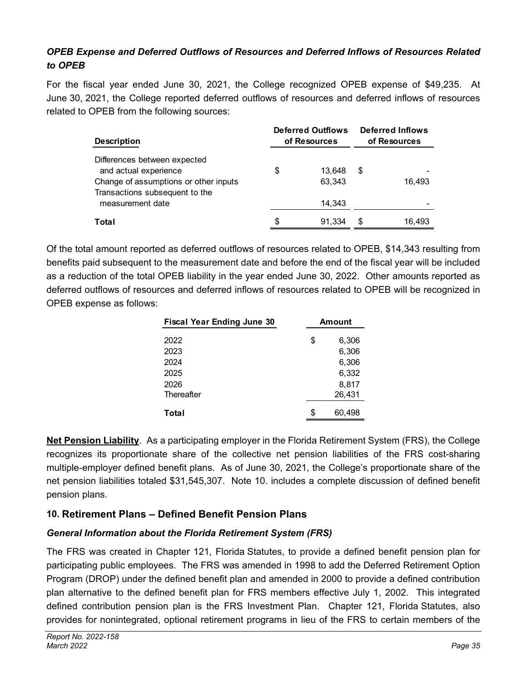# *OPEB Expense and Deferred Outflows of Resources and Deferred Inflows of Resources Related to OPEB*

For the fiscal year ended June 30, 2021, the College recognized OPEB expense of \$49,235. At June 30, 2021, the College reported deferred outflows of resources and deferred inflows of resources related to OPEB from the following sources:

| <b>Description</b>                                                      | <b>Deferred Outflows</b><br>of Resources |    | <b>Deferred Inflows</b><br>of Resources |
|-------------------------------------------------------------------------|------------------------------------------|----|-----------------------------------------|
| Differences between expected<br>and actual experience                   | \$<br>13.648                             | S  |                                         |
| Change of assumptions or other inputs<br>Transactions subsequent to the | 63,343                                   |    | 16.493                                  |
| measurement date                                                        | 14.343                                   |    |                                         |
| Total                                                                   | \$<br>91.334                             | \$ | 16.493                                  |

Of the total amount reported as deferred outflows of resources related to OPEB, \$14,343 resulting from benefits paid subsequent to the measurement date and before the end of the fiscal year will be included as a reduction of the total OPEB liability in the year ended June 30, 2022. Other amounts reported as deferred outflows of resources and deferred inflows of resources related to OPEB will be recognized in OPEB expense as follows:

| <b>Fiscal Year Ending June 30</b> |    | <b>Amount</b> |
|-----------------------------------|----|---------------|
| 2022                              | \$ | 6,306         |
| 2023                              |    | 6,306         |
| 2024                              |    | 6,306         |
| 2025                              |    | 6,332         |
| 2026                              |    | 8,817         |
| Thereafter                        |    | 26,431        |
| Total                             | S. | 60,498        |

**Net Pension Liability**. As a participating employer in the Florida Retirement System (FRS), the College recognizes its proportionate share of the collective net pension liabilities of the FRS cost-sharing multiple-employer defined benefit plans. As of June 30, 2021, the College's proportionate share of the net pension liabilities totaled \$31,545,307. Note 10. includes a complete discussion of defined benefit pension plans.

# **10. Retirement Plans – Defined Benefit Pension Plans**

# *General Information about the Florida Retirement System (FRS)*

The FRS was created in Chapter 121, Florida Statutes, to provide a defined benefit pension plan for participating public employees. The FRS was amended in 1998 to add the Deferred Retirement Option Program (DROP) under the defined benefit plan and amended in 2000 to provide a defined contribution plan alternative to the defined benefit plan for FRS members effective July 1, 2002. This integrated defined contribution pension plan is the FRS Investment Plan. Chapter 121, Florida Statutes, also provides for nonintegrated, optional retirement programs in lieu of the FRS to certain members of the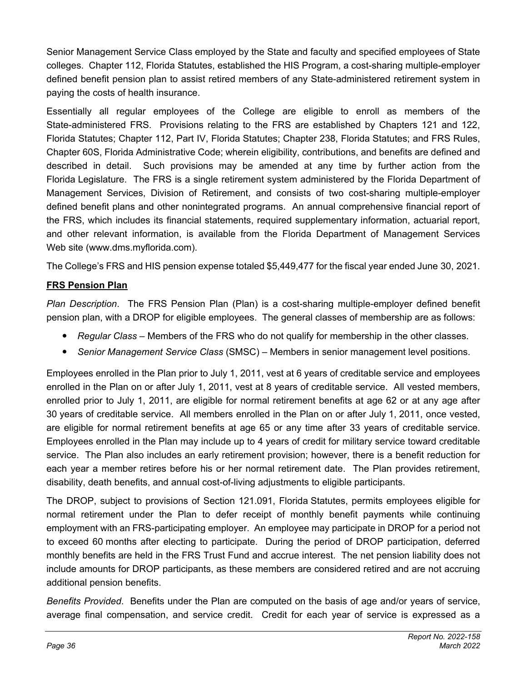Senior Management Service Class employed by the State and faculty and specified employees of State colleges. Chapter 112, Florida Statutes, established the HIS Program, a cost-sharing multiple-employer defined benefit pension plan to assist retired members of any State-administered retirement system in paying the costs of health insurance.

Essentially all regular employees of the College are eligible to enroll as members of the State-administered FRS. Provisions relating to the FRS are established by Chapters 121 and 122, Florida Statutes; Chapter 112, Part IV, Florida Statutes; Chapter 238, Florida Statutes; and FRS Rules, Chapter 60S, Florida Administrative Code; wherein eligibility, contributions, and benefits are defined and described in detail. Such provisions may be amended at any time by further action from the Florida Legislature. The FRS is a single retirement system administered by the Florida Department of Management Services, Division of Retirement, and consists of two cost-sharing multiple-employer defined benefit plans and other nonintegrated programs. An annual comprehensive financial report of the FRS, which includes its financial statements, required supplementary information, actuarial report, and other relevant information, is available from the Florida Department of Management Services Web site (www.dms.myflorida.com).

The College's FRS and HIS pension expense totaled \$5,449,477 for the fiscal year ended June 30, 2021.

# **FRS Pension Plan**

*Plan Description*. The FRS Pension Plan (Plan) is a cost-sharing multiple-employer defined benefit pension plan, with a DROP for eligible employees. The general classes of membership are as follows:

- *Regular Class* Members of the FRS who do not qualify for membership in the other classes.
- *Senior Management Service Class* (SMSC) Members in senior management level positions.

Employees enrolled in the Plan prior to July 1, 2011, vest at 6 years of creditable service and employees enrolled in the Plan on or after July 1, 2011, vest at 8 years of creditable service. All vested members, enrolled prior to July 1, 2011, are eligible for normal retirement benefits at age 62 or at any age after 30 years of creditable service. All members enrolled in the Plan on or after July 1, 2011, once vested, are eligible for normal retirement benefits at age 65 or any time after 33 years of creditable service. Employees enrolled in the Plan may include up to 4 years of credit for military service toward creditable service. The Plan also includes an early retirement provision; however, there is a benefit reduction for each year a member retires before his or her normal retirement date. The Plan provides retirement, disability, death benefits, and annual cost-of-living adjustments to eligible participants.

The DROP, subject to provisions of Section 121.091, Florida Statutes, permits employees eligible for normal retirement under the Plan to defer receipt of monthly benefit payments while continuing employment with an FRS-participating employer. An employee may participate in DROP for a period not to exceed 60 months after electing to participate. During the period of DROP participation, deferred monthly benefits are held in the FRS Trust Fund and accrue interest. The net pension liability does not include amounts for DROP participants, as these members are considered retired and are not accruing additional pension benefits.

*Benefits Provided*. Benefits under the Plan are computed on the basis of age and/or years of service, average final compensation, and service credit. Credit for each year of service is expressed as a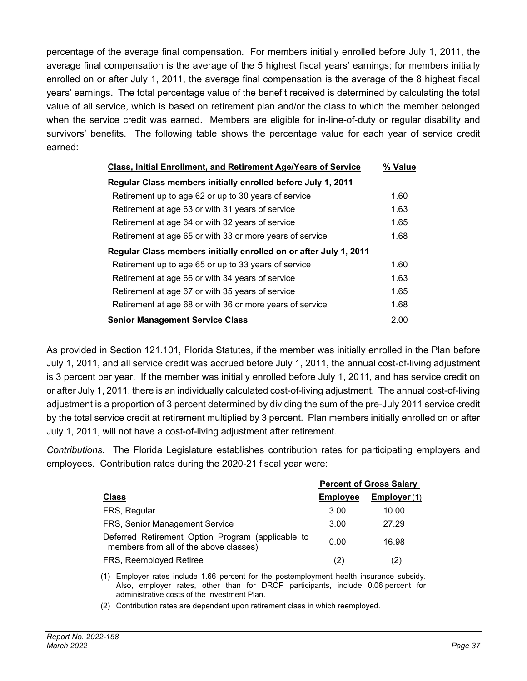percentage of the average final compensation. For members initially enrolled before July 1, 2011, the average final compensation is the average of the 5 highest fiscal years' earnings; for members initially enrolled on or after July 1, 2011, the average final compensation is the average of the 8 highest fiscal years' earnings. The total percentage value of the benefit received is determined by calculating the total value of all service, which is based on retirement plan and/or the class to which the member belonged when the service credit was earned. Members are eligible for in-line-of-duty or regular disability and survivors' benefits. The following table shows the percentage value for each year of service credit earned:

| <b>Class, Initial Enrollment, and Retirement Age/Years of Service</b> | % Value |
|-----------------------------------------------------------------------|---------|
| Regular Class members initially enrolled before July 1, 2011          |         |
| Retirement up to age 62 or up to 30 years of service                  | 1.60    |
| Retirement at age 63 or with 31 years of service                      | 1.63    |
| Retirement at age 64 or with 32 years of service                      | 1.65    |
| Retirement at age 65 or with 33 or more years of service              | 1.68    |
| Regular Class members initially enrolled on or after July 1, 2011     |         |
| Retirement up to age 65 or up to 33 years of service                  | 1.60    |
| Retirement at age 66 or with 34 years of service                      | 1.63    |
| Retirement at age 67 or with 35 years of service                      | 1.65    |
| Retirement at age 68 or with 36 or more years of service              | 1.68    |
| <b>Senior Management Service Class</b>                                | 2.00    |

As provided in Section 121.101, Florida Statutes, if the member was initially enrolled in the Plan before July 1, 2011, and all service credit was accrued before July 1, 2011, the annual cost-of-living adjustment is 3 percent per year. If the member was initially enrolled before July 1, 2011, and has service credit on or after July 1, 2011, there is an individually calculated cost-of-living adjustment. The annual cost-of-living adjustment is a proportion of 3 percent determined by dividing the sum of the pre-July 2011 service credit by the total service credit at retirement multiplied by 3 percent. Plan members initially enrolled on or after July 1, 2011, will not have a cost-of-living adjustment after retirement.

*Contributions*. The Florida Legislature establishes contribution rates for participating employers and employees. Contribution rates during the 2020-21 fiscal year were:

|                                                                                             | <b>Percent of Gross Salary</b> |                |  |
|---------------------------------------------------------------------------------------------|--------------------------------|----------------|--|
| <b>Class</b>                                                                                | <b>Employee</b>                | Employer $(1)$ |  |
| FRS, Regular                                                                                | 3.00                           | 10.00          |  |
| FRS, Senior Management Service                                                              | 3.00                           | 27.29          |  |
| Deferred Retirement Option Program (applicable to<br>members from all of the above classes) | 0.00                           | 16.98          |  |
| FRS, Reemployed Retiree                                                                     | (2)                            | (2)            |  |

(1) Employer rates include 1.66 percent for the postemployment health insurance subsidy. Also, employer rates, other than for DROP participants, include 0.06 percent for administrative costs of the Investment Plan.

(2) Contribution rates are dependent upon retirement class in which reemployed.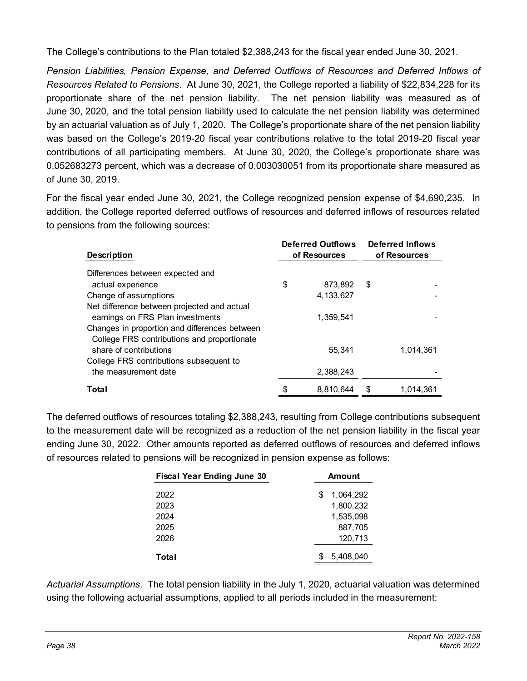The College's contributions to the Plan totaled \$2,388,243 for the fiscal year ended June 30, 2021.

*Pension Liabilities, Pension Expense, and Deferred Outflows of Resources and Deferred Inflows of Resources Related to Pensions*. At June 30, 2021, the College reported a liability of \$22,834,228 for its proportionate share of the net pension liability. The net pension liability was measured as of June 30, 2020, and the total pension liability used to calculate the net pension liability was determined by an actuarial valuation as of July 1, 2020. The College's proportionate share of the net pension liability was based on the College's 2019-20 fiscal year contributions relative to the total 2019-20 fiscal year contributions of all participating members. At June 30, 2020, the College's proportionate share was 0.052683273 percent, which was a decrease of 0.003030051 from its proportionate share measured as of June 30, 2019.

For the fiscal year ended June 30, 2021, the College recognized pension expense of \$4,690,235. In addition, the College reported deferred outflows of resources and deferred inflows of resources related to pensions from the following sources:

| <b>Description</b>                                                                           | <b>Deferred Outflows</b><br>of Resources |           | <b>Deferred Inflows</b><br>of Resources |           |
|----------------------------------------------------------------------------------------------|------------------------------------------|-----------|-----------------------------------------|-----------|
| Differences between expected and                                                             |                                          |           |                                         |           |
| actual experience                                                                            | \$                                       | 873,892   | \$                                      |           |
| Change of assumptions                                                                        |                                          | 4,133,627 |                                         |           |
| Net difference between projected and actual<br>earnings on FRS Plan investments              |                                          | 1.359.541 |                                         |           |
| Changes in proportion and differences between<br>College FRS contributions and proportionate |                                          |           |                                         |           |
| share of contributions                                                                       |                                          | 55.341    |                                         | 1,014,361 |
| College FRS contributions subsequent to<br>the measurement date                              |                                          | 2,388,243 |                                         |           |
| Total                                                                                        | \$                                       | 8,810,644 |                                         | 1.014.361 |

The deferred outflows of resources totaling \$2,388,243, resulting from College contributions subsequent to the measurement date will be recognized as a reduction of the net pension liability in the fiscal year ending June 30, 2022. Other amounts reported as deferred outflows of resources and deferred inflows of resources related to pensions will be recognized in pension expense as follows:

| <b>Fiscal Year Ending June 30</b> | <b>Amount</b>  |
|-----------------------------------|----------------|
| 2022                              | 1,064,292<br>S |
| 2023                              | 1,800,232      |
| 2024                              | 1,535,098      |
| 2025                              | 887,705        |
| 2026                              | 120,713        |
| Total                             | 5,408,040      |

*Actuarial Assumptions*. The total pension liability in the July 1, 2020, actuarial valuation was determined using the following actuarial assumptions, applied to all periods included in the measurement: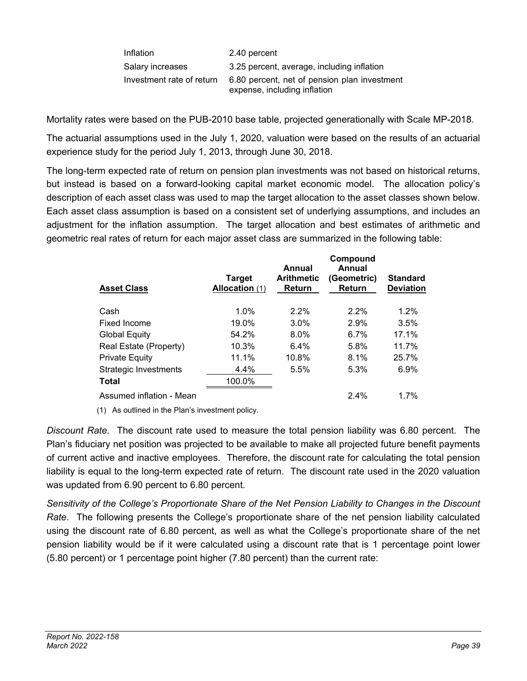| Inflation                 | 2.40 percent                                                                 |
|---------------------------|------------------------------------------------------------------------------|
| Salary increases          | 3.25 percent, average, including inflation                                   |
| Investment rate of return | 6.80 percent, net of pension plan investment<br>expense, including inflation |

Mortality rates were based on the PUB-2010 base table, projected generationally with Scale MP-2018.

The actuarial assumptions used in the July 1, 2020, valuation were based on the results of an actuarial experience study for the period July 1, 2013, through June 30, 2018.

The long-term expected rate of return on pension plan investments was not based on historical returns, but instead is based on a forward-looking capital market economic model. The allocation policy's description of each asset class was used to map the target allocation to the asset classes shown below. Each asset class assumption is based on a consistent set of underlying assumptions, and includes an adjustment for the inflation assumption. The target allocation and best estimates of arithmetic and geometric real rates of return for each major asset class are summarized in the following table:

| <b>Asset Class</b>           | <b>Target</b><br>Allocation (1) | Annual<br><b>Arithmetic</b><br>Return | Compound<br>Annual<br>(Geometric)<br>Return | <b>Standard</b><br><b>Deviation</b> |
|------------------------------|---------------------------------|---------------------------------------|---------------------------------------------|-------------------------------------|
| Cash                         | 1.0%                            | 2.2%                                  | 2.2%                                        | 1.2%                                |
| Fixed Income                 | 19.0%                           | $3.0\%$                               | 2.9%                                        | 3.5%                                |
| <b>Global Equity</b>         | 54.2%                           | 8.0%                                  | 6.7%                                        | 17.1%                               |
| Real Estate (Property)       | 10.3%                           | 6.4%                                  | 5.8%                                        | 11.7%                               |
| <b>Private Equity</b>        | 11.1%                           | 10.8%                                 | 8.1%                                        | 25.7%                               |
| <b>Strategic Investments</b> | 4.4%                            | 5.5%                                  | 5.3%                                        | 6.9%                                |
| <b>Total</b>                 | 100.0%                          |                                       |                                             |                                     |
| Assumed inflation - Mean     |                                 |                                       | 2.4%                                        | 1.7%                                |
|                              |                                 |                                       |                                             |                                     |

(1) As outlined in the Plan's investment policy.

*Discount Rate*. The discount rate used to measure the total pension liability was 6.80 percent. The Plan's fiduciary net position was projected to be available to make all projected future benefit payments of current active and inactive employees. Therefore, the discount rate for calculating the total pension liability is equal to the long-term expected rate of return. The discount rate used in the 2020 valuation was updated from 6.90 percent to 6.80 percent.

*Sensitivity of the College's Proportionate Share of the Net Pension Liability to Changes in the Discount Rate*. The following presents the College's proportionate share of the net pension liability calculated using the discount rate of 6.80 percent, as well as what the College's proportionate share of the net pension liability would be if it were calculated using a discount rate that is 1 percentage point lower (5.80 percent) or 1 percentage point higher (7.80 percent) than the current rate: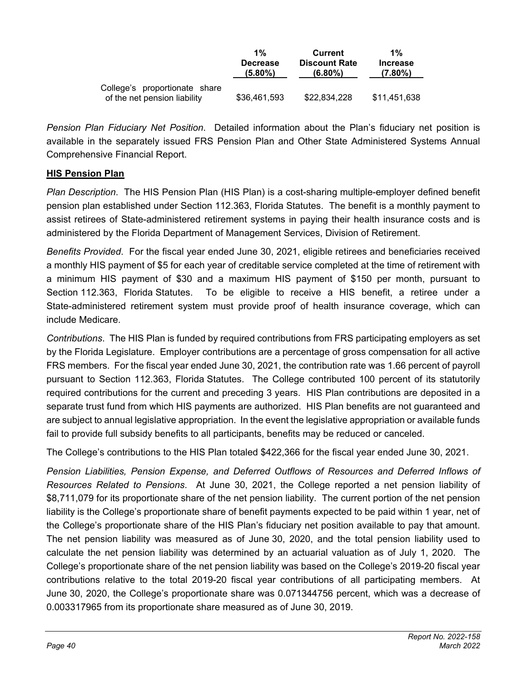|                                                               | 1%              | <b>Current</b>       | 1%              |
|---------------------------------------------------------------|-----------------|----------------------|-----------------|
|                                                               | <b>Decrease</b> | <b>Discount Rate</b> | <b>Increase</b> |
|                                                               | $(5.80\%)$      | $(6.80\%)$           | $(7.80\%)$      |
| College's proportionate share<br>of the net pension liability | \$36,461,593    | \$22,834,228         | \$11,451,638    |

*Pension Plan Fiduciary Net Position*. Detailed information about the Plan's fiduciary net position is available in the separately issued FRS Pension Plan and Other State Administered Systems Annual Comprehensive Financial Report.

# **HIS Pension Plan**

*Plan Description*. The HIS Pension Plan (HIS Plan) is a cost-sharing multiple-employer defined benefit pension plan established under Section 112.363, Florida Statutes. The benefit is a monthly payment to assist retirees of State-administered retirement systems in paying their health insurance costs and is administered by the Florida Department of Management Services, Division of Retirement.

*Benefits Provided*. For the fiscal year ended June 30, 2021, eligible retirees and beneficiaries received a monthly HIS payment of \$5 for each year of creditable service completed at the time of retirement with a minimum HIS payment of \$30 and a maximum HIS payment of \$150 per month, pursuant to Section 112.363, Florida Statutes. To be eligible to receive a HIS benefit, a retiree under a State-administered retirement system must provide proof of health insurance coverage, which can include Medicare.

*Contributions*. The HIS Plan is funded by required contributions from FRS participating employers as set by the Florida Legislature. Employer contributions are a percentage of gross compensation for all active FRS members. For the fiscal year ended June 30, 2021, the contribution rate was 1.66 percent of payroll pursuant to Section 112.363, Florida Statutes. The College contributed 100 percent of its statutorily required contributions for the current and preceding 3 years. HIS Plan contributions are deposited in a separate trust fund from which HIS payments are authorized. HIS Plan benefits are not guaranteed and are subject to annual legislative appropriation. In the event the legislative appropriation or available funds fail to provide full subsidy benefits to all participants, benefits may be reduced or canceled.

The College's contributions to the HIS Plan totaled \$422,366 for the fiscal year ended June 30, 2021.

*Pension Liabilities, Pension Expense, and Deferred Outflows of Resources and Deferred Inflows of Resources Related to Pensions*. At June 30, 2021, the College reported a net pension liability of \$8,711,079 for its proportionate share of the net pension liability. The current portion of the net pension liability is the College's proportionate share of benefit payments expected to be paid within 1 year, net of the College's proportionate share of the HIS Plan's fiduciary net position available to pay that amount. The net pension liability was measured as of June 30, 2020, and the total pension liability used to calculate the net pension liability was determined by an actuarial valuation as of July 1, 2020. The College's proportionate share of the net pension liability was based on the College's 2019-20 fiscal year contributions relative to the total 2019-20 fiscal year contributions of all participating members. At June 30, 2020, the College's proportionate share was 0.071344756 percent, which was a decrease of 0.003317965 from its proportionate share measured as of June 30, 2019.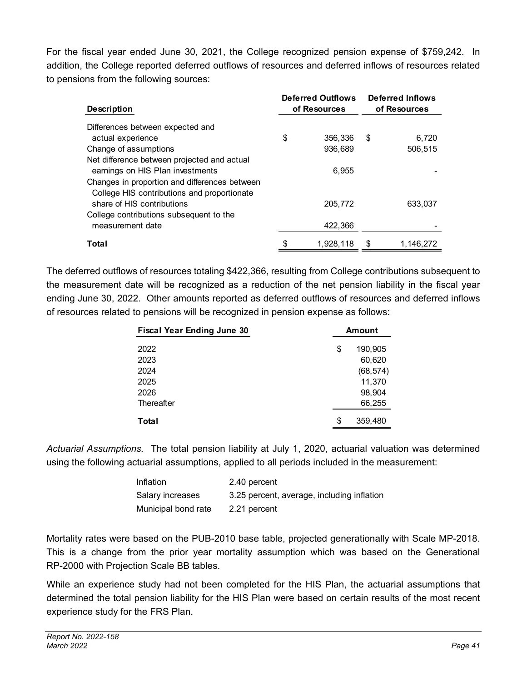For the fiscal year ended June 30, 2021, the College recognized pension expense of \$759,242. In addition, the College reported deferred outflows of resources and deferred inflows of resources related to pensions from the following sources:

| <b>Description</b>                                                                           | <b>Deferred Outflows</b><br>of Resources |           | <b>Deferred Inflows</b><br>of Resources |           |
|----------------------------------------------------------------------------------------------|------------------------------------------|-----------|-----------------------------------------|-----------|
| Differences between expected and                                                             |                                          |           |                                         |           |
| actual experience                                                                            | \$                                       | 356,336   | S                                       | 6.720     |
| Change of assumptions                                                                        |                                          | 936,689   |                                         | 506,515   |
| Net difference between projected and actual<br>earnings on HIS Plan investments              |                                          | 6.955     |                                         |           |
| Changes in proportion and differences between<br>College HIS contributions and proportionate |                                          |           |                                         |           |
| share of HIS contributions                                                                   |                                          | 205,772   |                                         | 633.037   |
| College contributions subsequent to the<br>measurement date                                  |                                          | 422,366   |                                         |           |
|                                                                                              |                                          |           |                                         |           |
| Total                                                                                        | \$                                       | 1,928,118 | \$                                      | 1,146,272 |

The deferred outflows of resources totaling \$422,366, resulting from College contributions subsequent to the measurement date will be recognized as a reduction of the net pension liability in the fiscal year ending June 30, 2022. Other amounts reported as deferred outflows of resources and deferred inflows of resources related to pensions will be recognized in pension expense as follows:

| <b>Fiscal Year Ending June 30</b> |    | <b>Amount</b> |  |
|-----------------------------------|----|---------------|--|
| 2022                              | \$ | 190,905       |  |
| 2023                              |    | 60,620        |  |
| 2024                              |    | (68, 574)     |  |
| 2025                              |    | 11,370        |  |
| 2026                              |    | 98,904        |  |
| Thereafter                        |    | 66,255        |  |
| Total                             | \$ | 359,480       |  |

*Actuarial Assumptions.* The total pension liability at July 1, 2020, actuarial valuation was determined using the following actuarial assumptions, applied to all periods included in the measurement:

| Inflation           | 2.40 percent                               |
|---------------------|--------------------------------------------|
| Salary increases    | 3.25 percent, average, including inflation |
| Municipal bond rate | 2.21 percent                               |

Mortality rates were based on the PUB-2010 base table, projected generationally with Scale MP-2018. This is a change from the prior year mortality assumption which was based on the Generational RP-2000 with Projection Scale BB tables.

While an experience study had not been completed for the HIS Plan, the actuarial assumptions that determined the total pension liability for the HIS Plan were based on certain results of the most recent experience study for the FRS Plan.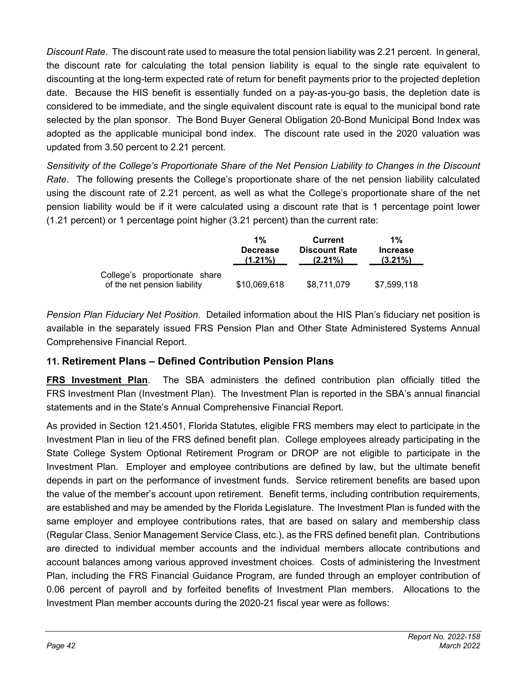*Discount Rate*. The discount rate used to measure the total pension liability was 2.21 percent. In general, the discount rate for calculating the total pension liability is equal to the single rate equivalent to discounting at the long-term expected rate of return for benefit payments prior to the projected depletion date. Because the HIS benefit is essentially funded on a pay-as-you-go basis, the depletion date is considered to be immediate, and the single equivalent discount rate is equal to the municipal bond rate selected by the plan sponsor. The Bond Buyer General Obligation 20-Bond Municipal Bond Index was adopted as the applicable municipal bond index. The discount rate used in the 2020 valuation was updated from 3.50 percent to 2.21 percent.

*Sensitivity of the College's Proportionate Share of the Net Pension Liability to Changes in the Discount Rate*. The following presents the College's proportionate share of the net pension liability calculated using the discount rate of 2.21 percent, as well as what the College's proportionate share of the net pension liability would be if it were calculated using a discount rate that is 1 percentage point lower (1.21 percent) or 1 percentage point higher (3.21 percent) than the current rate:

|                                                               | 1%              | Current              | 1%              |
|---------------------------------------------------------------|-----------------|----------------------|-----------------|
|                                                               | <b>Decrease</b> | <b>Discount Rate</b> | <b>Increase</b> |
|                                                               | $(1.21\%)$      | $(2.21\%)$           | $(3.21\%)$      |
| College's proportionate share<br>of the net pension liability | \$10,069,618    | \$8,711,079          | \$7,599,118     |

*Pension Plan Fiduciary Net Position*. Detailed information about the HIS Plan's fiduciary net position is available in the separately issued FRS Pension Plan and Other State Administered Systems Annual Comprehensive Financial Report.

# **11. Retirement Plans – Defined Contribution Pension Plans**

**FRS Investment Plan**. The SBA administers the defined contribution plan officially titled the FRS Investment Plan (Investment Plan). The Investment Plan is reported in the SBA's annual financial statements and in the State's Annual Comprehensive Financial Report.

As provided in Section 121.4501, Florida Statutes, eligible FRS members may elect to participate in the Investment Plan in lieu of the FRS defined benefit plan. College employees already participating in the State College System Optional Retirement Program or DROP are not eligible to participate in the Investment Plan. Employer and employee contributions are defined by law, but the ultimate benefit depends in part on the performance of investment funds. Service retirement benefits are based upon the value of the member's account upon retirement. Benefit terms, including contribution requirements, are established and may be amended by the Florida Legislature. The Investment Plan is funded with the same employer and employee contributions rates, that are based on salary and membership class (Regular Class, Senior Management Service Class, etc.), as the FRS defined benefit plan. Contributions are directed to individual member accounts and the individual members allocate contributions and account balances among various approved investment choices. Costs of administering the Investment Plan, including the FRS Financial Guidance Program, are funded through an employer contribution of 0.06 percent of payroll and by forfeited benefits of Investment Plan members. Allocations to the Investment Plan member accounts during the 2020-21 fiscal year were as follows: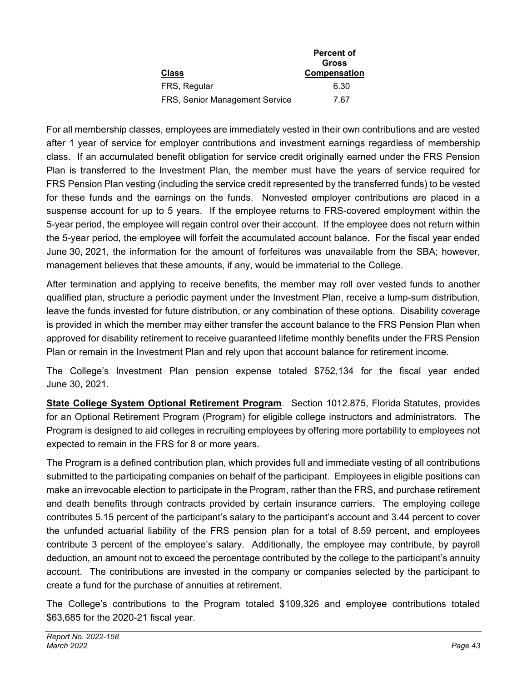|                                | Percent of   |  |
|--------------------------------|--------------|--|
|                                | Gross        |  |
| <b>Class</b>                   | Compensation |  |
| FRS, Regular                   | 6.30         |  |
| FRS, Senior Management Service | 7.67         |  |

For all membership classes, employees are immediately vested in their own contributions and are vested after 1 year of service for employer contributions and investment earnings regardless of membership class. If an accumulated benefit obligation for service credit originally earned under the FRS Pension Plan is transferred to the Investment Plan, the member must have the years of service required for FRS Pension Plan vesting (including the service credit represented by the transferred funds) to be vested for these funds and the earnings on the funds. Nonvested employer contributions are placed in a suspense account for up to 5 years. If the employee returns to FRS-covered employment within the 5-year period, the employee will regain control over their account. If the employee does not return within the 5-year period, the employee will forfeit the accumulated account balance. For the fiscal year ended June 30, 2021, the information for the amount of forfeitures was unavailable from the SBA; however, management believes that these amounts, if any, would be immaterial to the College.

After termination and applying to receive benefits, the member may roll over vested funds to another qualified plan, structure a periodic payment under the Investment Plan, receive a lump-sum distribution, leave the funds invested for future distribution, or any combination of these options. Disability coverage is provided in which the member may either transfer the account balance to the FRS Pension Plan when approved for disability retirement to receive guaranteed lifetime monthly benefits under the FRS Pension Plan or remain in the Investment Plan and rely upon that account balance for retirement income.

The College's Investment Plan pension expense totaled \$752,134 for the fiscal year ended June 30, 2021.

**State College System Optional Retirement Program**. Section 1012.875, Florida Statutes, provides for an Optional Retirement Program (Program) for eligible college instructors and administrators. The Program is designed to aid colleges in recruiting employees by offering more portability to employees not expected to remain in the FRS for 8 or more years.

The Program is a defined contribution plan, which provides full and immediate vesting of all contributions submitted to the participating companies on behalf of the participant. Employees in eligible positions can make an irrevocable election to participate in the Program, rather than the FRS, and purchase retirement and death benefits through contracts provided by certain insurance carriers. The employing college contributes 5.15 percent of the participant's salary to the participant's account and 3.44 percent to cover the unfunded actuarial liability of the FRS pension plan for a total of 8.59 percent, and employees contribute 3 percent of the employee's salary. Additionally, the employee may contribute, by payroll deduction, an amount not to exceed the percentage contributed by the college to the participant's annuity account. The contributions are invested in the company or companies selected by the participant to create a fund for the purchase of annuities at retirement.

The College's contributions to the Program totaled \$109,326 and employee contributions totaled \$63,685 for the 2020-21 fiscal year.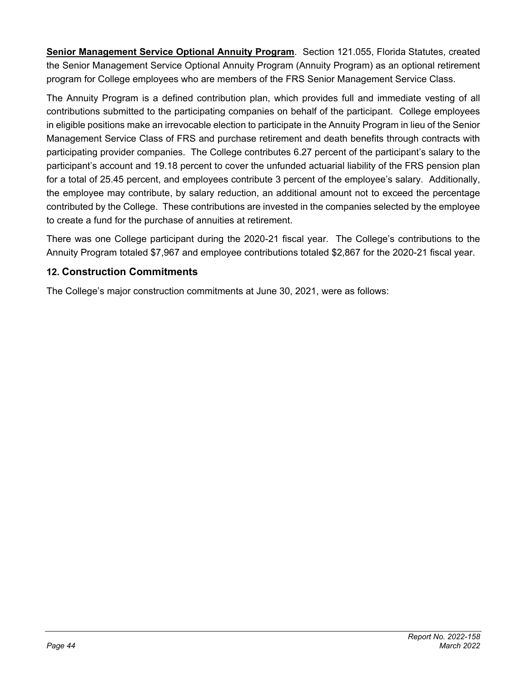**Senior Management Service Optional Annuity Program**. Section 121.055, Florida Statutes, created the Senior Management Service Optional Annuity Program (Annuity Program) as an optional retirement program for College employees who are members of the FRS Senior Management Service Class.

The Annuity Program is a defined contribution plan, which provides full and immediate vesting of all contributions submitted to the participating companies on behalf of the participant. College employees in eligible positions make an irrevocable election to participate in the Annuity Program in lieu of the Senior Management Service Class of FRS and purchase retirement and death benefits through contracts with participating provider companies. The College contributes 6.27 percent of the participant's salary to the participant's account and 19.18 percent to cover the unfunded actuarial liability of the FRS pension plan for a total of 25.45 percent, and employees contribute 3 percent of the employee's salary. Additionally, the employee may contribute, by salary reduction, an additional amount not to exceed the percentage contributed by the College. These contributions are invested in the companies selected by the employee to create a fund for the purchase of annuities at retirement.

There was one College participant during the 2020-21 fiscal year. The College's contributions to the Annuity Program totaled \$7,967 and employee contributions totaled \$2,867 for the 2020-21 fiscal year.

# **12. Construction Commitments**

The College's major construction commitments at June 30, 2021, were as follows: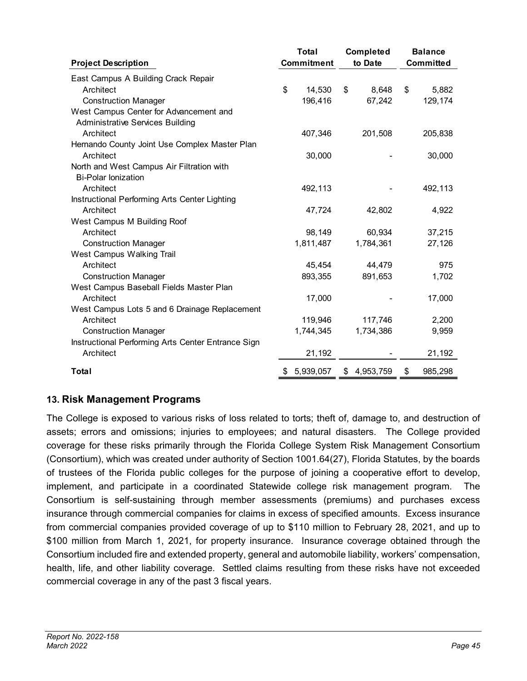|                                                      | <b>Total</b><br>Completed |                 | <b>Balance</b> |  |
|------------------------------------------------------|---------------------------|-----------------|----------------|--|
| <b>Project Description</b>                           | Commitment                | to Date         | Committed      |  |
| East Campus A Building Crack Repair                  |                           |                 |                |  |
| Architect                                            | \$<br>14,530              | 8,648<br>\$     | 5,882<br>\$    |  |
| <b>Construction Manager</b>                          | 196,416                   | 67,242          | 129,174        |  |
| West Campus Center for Advancement and               |                           |                 |                |  |
| <b>Administrative Services Building</b>              |                           |                 |                |  |
| Architect                                            | 407,346                   | 201,508         | 205,838        |  |
| Hernando County Joint Use Complex Master Plan        |                           |                 |                |  |
| Architect                                            | 30,000                    |                 | 30,000         |  |
| North and West Campus Air Filtration with            |                           |                 |                |  |
| <b>Bi-Polar lonization</b>                           |                           |                 |                |  |
| Architect                                            | 492,113                   |                 | 492,113        |  |
| Instructional Performing Arts Center Lighting        |                           |                 |                |  |
| Architect                                            | 47,724                    | 42,802          | 4,922          |  |
| West Campus M Building Roof                          |                           |                 |                |  |
| Architect                                            | 98,149                    | 60,934          | 37,215         |  |
| <b>Construction Manager</b>                          | 1,811,487                 | 1,784,361       | 27,126         |  |
| West Campus Walking Trail                            |                           |                 |                |  |
| Architect                                            | 45,454                    | 44,479          | 975            |  |
| <b>Construction Manager</b>                          | 893,355                   | 891,653         | 1,702          |  |
| West Campus Baseball Fields Master Plan<br>Architect | 17,000                    |                 | 17,000         |  |
| West Campus Lots 5 and 6 Drainage Replacement        |                           |                 |                |  |
| Architect                                            | 119,946                   | 117,746         | 2,200          |  |
| <b>Construction Manager</b>                          | 1,744,345                 | 1,734,386       | 9,959          |  |
| Instructional Performing Arts Center Entrance Sign   |                           |                 |                |  |
| Architect                                            | 21,192                    |                 | 21,192         |  |
| <b>Total</b>                                         | 5,939,057<br>S            | 4,953,759<br>\$ | 985,298<br>\$  |  |

# **13. Risk Management Programs**

The College is exposed to various risks of loss related to torts; theft of, damage to, and destruction of assets; errors and omissions; injuries to employees; and natural disasters. The College provided coverage for these risks primarily through the Florida College System Risk Management Consortium (Consortium), which was created under authority of Section 1001.64(27), Florida Statutes, by the boards of trustees of the Florida public colleges for the purpose of joining a cooperative effort to develop, implement, and participate in a coordinated Statewide college risk management program. The Consortium is self-sustaining through member assessments (premiums) and purchases excess insurance through commercial companies for claims in excess of specified amounts. Excess insurance from commercial companies provided coverage of up to \$110 million to February 28, 2021, and up to \$100 million from March 1, 2021, for property insurance. Insurance coverage obtained through the Consortium included fire and extended property, general and automobile liability, workers' compensation, health, life, and other liability coverage. Settled claims resulting from these risks have not exceeded commercial coverage in any of the past 3 fiscal years.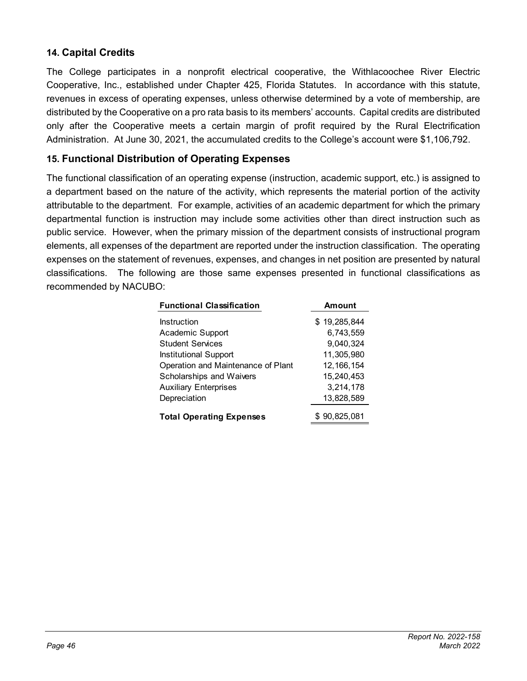# **14. Capital Credits**

The College participates in a nonprofit electrical cooperative, the Withlacoochee River Electric Cooperative, Inc., established under Chapter 425, Florida Statutes. In accordance with this statute, revenues in excess of operating expenses, unless otherwise determined by a vote of membership, are distributed by the Cooperative on a pro rata basis to its members' accounts. Capital credits are distributed only after the Cooperative meets a certain margin of profit required by the Rural Electrification Administration. At June 30, 2021, the accumulated credits to the College's account were \$1,106,792.

# **15. Functional Distribution of Operating Expenses**

The functional classification of an operating expense (instruction, academic support, etc.) is assigned to a department based on the nature of the activity, which represents the material portion of the activity attributable to the department. For example, activities of an academic department for which the primary departmental function is instruction may include some activities other than direct instruction such as public service. However, when the primary mission of the department consists of instructional program elements, all expenses of the department are reported under the instruction classification. The operating expenses on the statement of revenues, expenses, and changes in net position are presented by natural classifications. The following are those same expenses presented in functional classifications as recommended by NACUBO:

| <b>Functional Classification</b>   | <b>Amount</b> |
|------------------------------------|---------------|
| Instruction                        | \$19,285,844  |
| Academic Support                   | 6,743,559     |
| <b>Student Services</b>            | 9,040,324     |
| <b>Institutional Support</b>       | 11,305,980    |
| Operation and Maintenance of Plant | 12.166.154    |
| Scholarships and Waivers           | 15,240,453    |
| <b>Auxiliary Enterprises</b>       | 3,214,178     |
| Depreciation                       | 13,828,589    |
| <b>Total Operating Expenses</b>    | \$90.825.081  |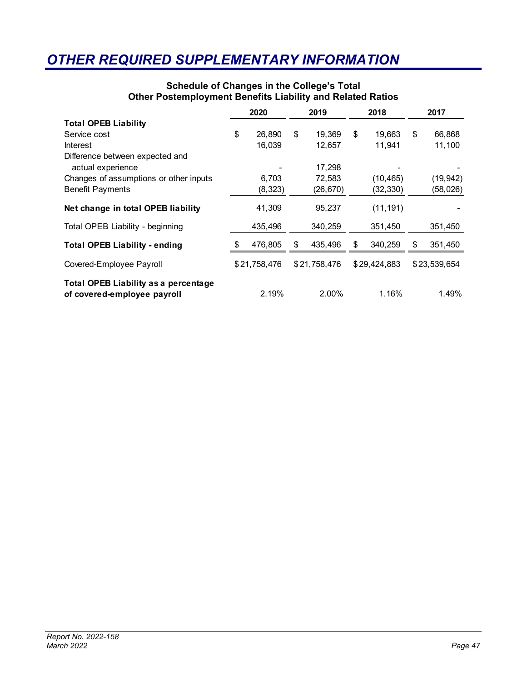# <span id="page-50-0"></span>*OTHER REQUIRED SUPPLEMENTARY INFORMATION*

|                                                                            | 2020 |              |    | 2019         | 2018          |     | 2017         |
|----------------------------------------------------------------------------|------|--------------|----|--------------|---------------|-----|--------------|
| <b>Total OPEB Liability</b>                                                |      |              |    |              |               |     |              |
| Service cost                                                               | \$   | 26,890       | \$ | 19,369       | \$<br>19,663  | \$  | 66,868       |
| <b>Interest</b>                                                            |      | 16,039       |    | 12,657       | 11,941        |     | 11,100       |
| Difference between expected and                                            |      |              |    |              |               |     |              |
| actual experience                                                          |      |              |    | 17,298       |               |     |              |
| Changes of assumptions or other inputs                                     |      | 6,703        |    | 72,583       | (10, 465)     |     | (19, 942)    |
| <b>Benefit Payments</b>                                                    |      | (8, 323)     |    | (26, 670)    | (32, 330)     |     | (58, 026)    |
| Net change in total OPEB liability                                         |      | 41,309       |    | 95,237       | (11, 191)     |     |              |
| Total OPEB Liability - beginning                                           |      | 435,496      |    | 340,259      | 351,450       |     | 351,450      |
| <b>Total OPEB Liability - ending</b>                                       | \$   | 476,805      | S. | 435,496      | \$<br>340,259 | \$. | 351,450      |
| Covered-Employee Payroll                                                   |      | \$21,758,476 |    | \$21,758,476 | \$29,424,883  |     | \$23,539,654 |
| <b>Total OPEB Liability as a percentage</b><br>of covered-employee payroll |      | 2.19%        |    | 2.00%        | 1.16%         |     | 1.49%        |

### **Schedule of Changes in the College's Total Other Postemployment Benefits Liability and Related Ratios**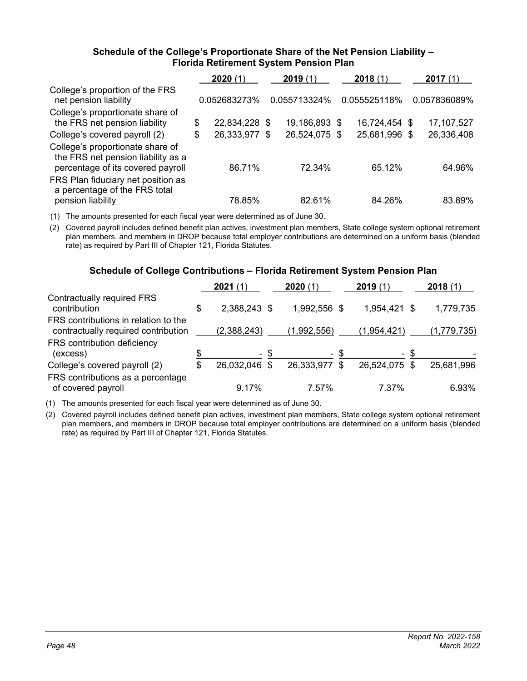### **Schedule of the College's Proportionate Share of the Net Pension Liability – Florida Retirement System Pension Plan**

<span id="page-51-0"></span>

|                                                                                                             | 2020(1)             |    | 2019(1)       | 2018(1)       | 2017(1)      |
|-------------------------------------------------------------------------------------------------------------|---------------------|----|---------------|---------------|--------------|
| College's proportion of the FRS<br>net pension liability<br>College's proportionate share of                | 0.052683273%        |    | 0.055713324%  | 0.055525118%  | 0.057836089% |
| the FRS net pension liability                                                                               | \$<br>22,834,228 \$ |    | 19,186,893 \$ | 16,724,454 \$ | 17,107,527   |
| College's covered payroll (2)                                                                               | \$<br>26,333,977    | -S | 26,524,075 \$ | 25,681,996 \$ | 26,336,408   |
| College's proportionate share of<br>the FRS net pension liability as a<br>percentage of its covered payroll | 86.71%              |    | 72.34%        | 65.12%        | 64.96%       |
| FRS Plan fiduciary net position as<br>a percentage of the FRS total<br>pension liability                    | 78.85%              |    | 82.61%        | 84.26%        | 83.89%       |

(1) The amounts presented for each fiscal year were determined as of June 30.

(2) Covered payroll includes defined benefit plan actives, investment plan members, State college system optional retirement plan members, and members in DROP because total employer contributions are determined on a uniform basis (blended rate) as required by Part III of Chapter 121, Florida Statutes.

### **Schedule of College Contributions – Florida Retirement System Pension Plan**

|                                                                             |    | 2021(1)       | 2020(1)                  | 2019(1)          |    | 2018(1)     |
|-----------------------------------------------------------------------------|----|---------------|--------------------------|------------------|----|-------------|
| <b>Contractually required FRS</b><br>contribution                           | \$ | 2,388,243 \$  | 1,992,556 \$             | 1,954,421        | -S | 1,779,735   |
| FRS contributions in relation to the<br>contractually required contribution |    | (2,388,243)   | (1,992,556)              | (1,954,421)      |    | (1,779,735) |
| FRS contribution deficiency<br>(excess)                                     |    |               | $\overline{\phantom{0}}$ |                  |    |             |
| College's covered payroll (2)                                               | S  | 26,032,046 \$ | 26,333,977               | \$<br>26,524,075 | \$ | 25,681,996  |
| FRS contributions as a percentage<br>of covered payroll                     |    | 9.17%         | 7.57%                    | 7 37%            |    | 6.93%       |

(1) The amounts presented for each fiscal year were determined as of June 30.

(2) Covered payroll includes defined benefit plan actives, investment plan members, State college system optional retirement plan members, and members in DROP because total employer contributions are determined on a uniform basis (blended rate) as required by Part III of Chapter 121, Florida Statutes.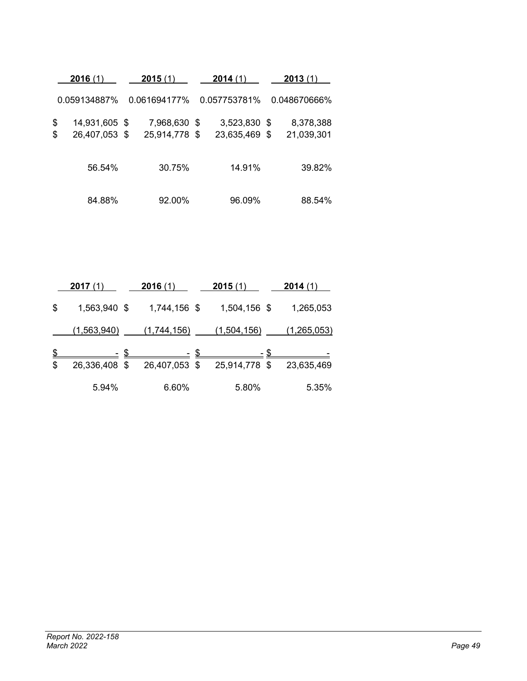| 2016(1) |               | 2015(1)       |      | 2014(1)       | 2013 (1 |              |  |  |  |
|---------|---------------|---------------|------|---------------|---------|--------------|--|--|--|
|         | 0.059134887%  | 0.061694177%  |      | 0.057753781%  |         | 0.048670666% |  |  |  |
| \$      | 14,931,605 \$ | 7,968,630     | - \$ | 3,523,830 \$  |         | 8,378,388    |  |  |  |
| \$      | 26,407,053 \$ | 25,914,778 \$ |      | 23,635,469 \$ |         | 21,039,301   |  |  |  |
|         | 56.54%        | 30.75%        |      | 14.91%        |         | 39.82%       |  |  |  |
|         | 84.88%        | 92.00%        |      | 96.09%        |         | 88.54%       |  |  |  |

|    | 2017 (1       | 2016 (1)      | 2015(1)       | 2014(1)     |
|----|---------------|---------------|---------------|-------------|
| \$ | 1,563,940 \$  | 1,744,156 \$  | 1,504,156 \$  | 1,265,053   |
|    | (1,563,940)   | (1,744,156)   | (1,504,156)   | (1,265,053) |
|    |               |               |               |             |
| \$ | 26,336,408 \$ | 26,407,053 \$ | 25,914,778 \$ | 23,635,469  |
|    | 5.94%         | 6.60%         | 5.80%         | 5.35%       |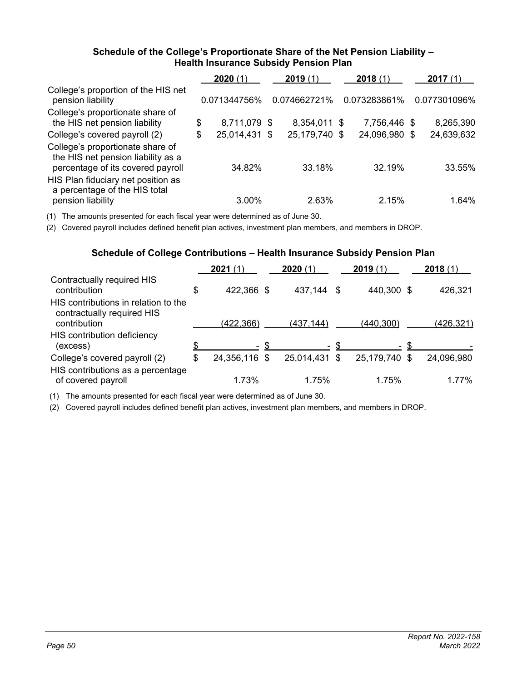### **Schedule of the College's Proportionate Share of the Net Pension Liability – Health Insurance Subsidy Pension Plan**

<span id="page-53-0"></span>

|                                                                                                             | 2020(1)             | 2019(1)       | 2018(1)       | 2017 (1      |
|-------------------------------------------------------------------------------------------------------------|---------------------|---------------|---------------|--------------|
| College's proportion of the HIS net<br>pension liability<br>College's proportionate share of                | 0.071344756%        | 0.074662721%  | 0.073283861%  | 0.077301096% |
| the HIS net pension liability                                                                               | \$<br>8,711,079 \$  | 8,354,011 \$  | 7,756,446 \$  | 8,265,390    |
| College's covered payroll (2)                                                                               | \$<br>25,014,431 \$ | 25,179,740 \$ | 24,096,980 \$ | 24,639,632   |
| College's proportionate share of<br>the HIS net pension liability as a<br>percentage of its covered payroll | 34.82%              | 33.18%        | 32.19%        | 33.55%       |
| HIS Plan fiduciary net position as<br>a percentage of the HIS total<br>pension liability                    | 3.00%               | 2.63%         | 2.15%         | 1.64%        |

(1) The amounts presented for each fiscal year were determined as of June 30.

(2) Covered payroll includes defined benefit plan actives, investment plan members, and members in DROP.

### **Schedule of College Contributions – Health Insurance Subsidy Pension Plan**

|                                                                    | 2021(1)             | 2020(1)       |      | 2019(1)       | 2018(1)    |
|--------------------------------------------------------------------|---------------------|---------------|------|---------------|------------|
| Contractually required HIS<br>contribution                         | \$<br>422,366 \$    | 437,144       | - \$ | 440,300 \$    | 426,321    |
| HIS contributions in relation to the<br>contractually required HIS |                     |               |      |               |            |
| contribution                                                       | (422, 366)          | (437, 144)    |      | (440,300)     | (426, 321) |
| HIS contribution deficiency                                        |                     |               |      |               |            |
| (excess)                                                           |                     |               |      |               |            |
| College's covered payroll (2)                                      | \$<br>24,356,116 \$ | 25,014,431 \$ |      | 25,179,740 \$ | 24,096,980 |
| HIS contributions as a percentage<br>of covered payroll            | 1.73%               | 1.75%         |      | 1.75%         | 1 77%      |

(1) The amounts presented for each fiscal year were determined as of June 30.

(2) Covered payroll includes defined benefit plan actives, investment plan members, and members in DROP.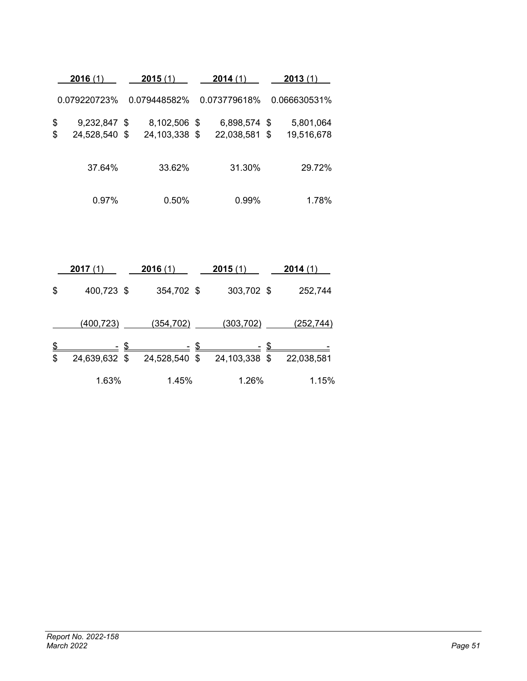|    | 2016(1)      |   | 2015(1)       | 2014(1)       | 2013 (1      |
|----|--------------|---|---------------|---------------|--------------|
|    | 0.079220723% |   | 0.079448582%  | 0.073779618%  | 0.066630531% |
| \$ | 9,232,847 \$ |   | 8,102,506 \$  | 6,898,574 \$  | 5,801,064    |
| \$ | 24,528,540   | S | 24,103,338 \$ | 22,038,581 \$ | 19,516,678   |
|    | 37.64%       |   | 33.62%        | 31.30%        | 29.72%       |
|    | 0.97%        |   | 0.50%         | $0.99\%$      | 1.78%        |

| 2017(1)             | 2016(1)       | 2015(1)       | 2014(1)    |
|---------------------|---------------|---------------|------------|
| \$<br>400,723 \$    | 354,702 \$    | 303,702 \$    | 252,744    |
| (400, 723)          | (354, 702)    | (303, 702)    | (252,744)  |
| - \$                |               | <b>S</b>      | - \$       |
| \$<br>24,639,632 \$ | 24,528,540 \$ | 24,103,338 \$ | 22,038,581 |
| 1.63%               | 1.45%         | 1.26%         | 1.15%      |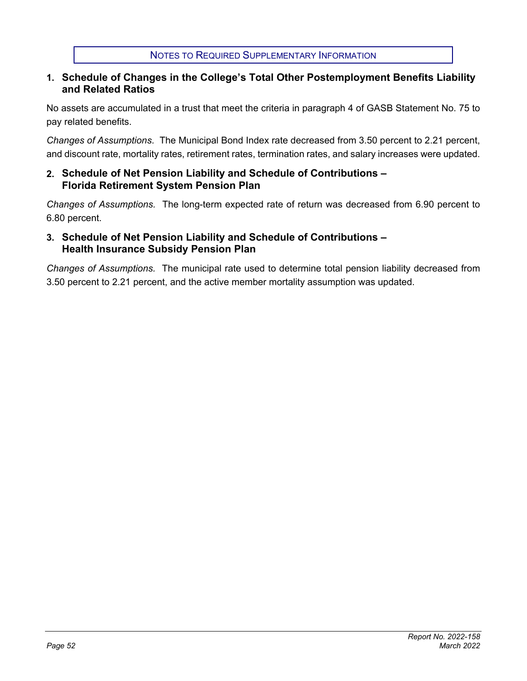# <span id="page-55-0"></span>**1. Schedule of Changes in the College's Total Other Postemployment Benefits Liability and Related Ratios**

No assets are accumulated in a trust that meet the criteria in paragraph 4 of GASB Statement No. 75 to pay related benefits.

*Changes of Assumptions*. The Municipal Bond Index rate decreased from 3.50 percent to 2.21 percent, and discount rate, mortality rates, retirement rates, termination rates, and salary increases were updated.

# **2. Schedule of Net Pension Liability and Schedule of Contributions – Florida Retirement System Pension Plan**

*Changes of Assumptions.* The long-term expected rate of return was decreased from 6.90 percent to 6.80 percent.

# **3. Schedule of Net Pension Liability and Schedule of Contributions – Health Insurance Subsidy Pension Plan**

*Changes of Assumptions.* The municipal rate used to determine total pension liability decreased from 3.50 percent to 2.21 percent, and the active member mortality assumption was updated.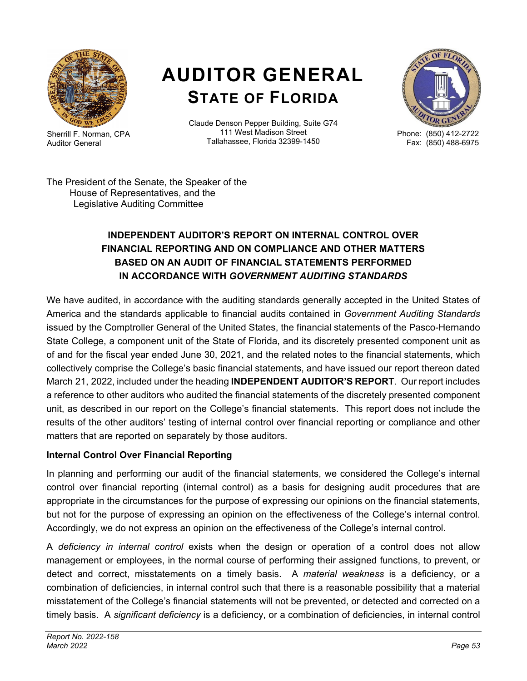<span id="page-56-0"></span>

Sherrill F. Norman, CPA Auditor General

# **AUDITOR GENERAL STATE OF FLORIDA**

Claude Denson Pepper Building, Suite G74 111 West Madison Street Tallahassee, Florida 32399-1450



Phone: (850) 412-2722 Fax: (850) 488-6975

The President of the Senate, the Speaker of the House of Representatives, and the Legislative Auditing Committee

# **INDEPENDENT AUDITOR'S REPORT ON INTERNAL CONTROL OVER FINANCIAL REPORTING AND ON COMPLIANCE AND OTHER MATTERS BASED ON AN AUDIT OF FINANCIAL STATEMENTS PERFORMED IN ACCORDANCE WITH** *GOVERNMENT AUDITING STANDARDS*

We have audited, in accordance with the auditing standards generally accepted in the United States of America and the standards applicable to financial audits contained in *Government Auditing Standards* issued by the Comptroller General of the United States, the financial statements of the Pasco-Hernando State College, a component unit of the State of Florida, and its discretely presented component unit as of and for the fiscal year ended June 30, 2021, and the related notes to the financial statements, which collectively comprise the College's basic financial statements, and have issued our report thereon dated March 21, 2022, included under the heading **INDEPENDENT AUDITOR'S REPORT**. Our report includes a reference to other auditors who audited the financial statements of the discretely presented component unit, as described in our report on the College's financial statements. This report does not include the results of the other auditors' testing of internal control over financial reporting or compliance and other matters that are reported on separately by those auditors.

# **Internal Control Over Financial Reporting**

In planning and performing our audit of the financial statements, we considered the College's internal control over financial reporting (internal control) as a basis for designing audit procedures that are appropriate in the circumstances for the purpose of expressing our opinions on the financial statements, but not for the purpose of expressing an opinion on the effectiveness of the College's internal control. Accordingly, we do not express an opinion on the effectiveness of the College's internal control.

A *deficiency in internal control* exists when the design or operation of a control does not allow management or employees, in the normal course of performing their assigned functions, to prevent, or detect and correct, misstatements on a timely basis. A *material weakness* is a deficiency, or a combination of deficiencies, in internal control such that there is a reasonable possibility that a material misstatement of the College's financial statements will not be prevented, or detected and corrected on a timely basis. A *significant deficiency* is a deficiency, or a combination of deficiencies, in internal control